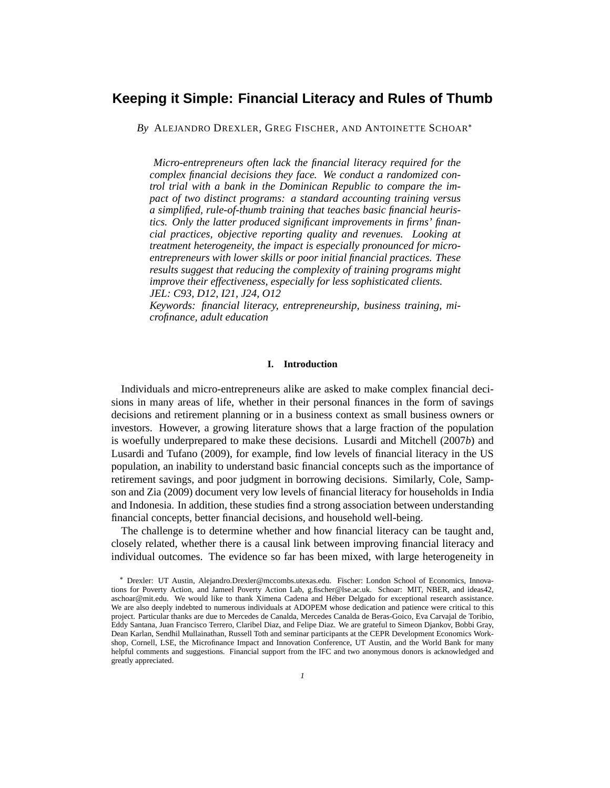# **Keeping it Simple: Financial Literacy and Rules of Thumb**

*By* ALEJANDRO DREXLER, GREG FISCHER, AND ANTOINETTE SCHOAR

*Micro-entrepreneurs often lack the financial literacy required for the complex financial decisions they face. We conduct a randomized control trial with a bank in the Dominican Republic to compare the impact of two distinct programs: a standard accounting training versus a simplified, rule-of-thumb training that teaches basic financial heuristics. Only the latter produced significant improvements in firms' financial practices, objective reporting quality and revenues. Looking at treatment heterogeneity, the impact is especially pronounced for microentrepreneurs with lower skills or poor initial financial practices. These results suggest that reducing the complexity of training programs might improve their effectiveness, especially for less sophisticated clients. JEL: C93, D12, I21, J24, O12*

*Keywords: financial literacy, entrepreneurship, business training, microfinance, adult education*

#### **I. Introduction**

Individuals and micro-entrepreneurs alike are asked to make complex financial decisions in many areas of life, whether in their personal finances in the form of savings decisions and retirement planning or in a business context as small business owners or investors. However, a growing literature shows that a large fraction of the population is woefully underprepared to make these decisions. Lusardi and Mitchell (2007*b*) and Lusardi and Tufano (2009), for example, find low levels of financial literacy in the US population, an inability to understand basic financial concepts such as the importance of retirement savings, and poor judgment in borrowing decisions. Similarly, Cole, Sampson and Zia (2009) document very low levels of financial literacy for households in India and Indonesia. In addition, these studies find a strong association between understanding financial concepts, better financial decisions, and household well-being.

The challenge is to determine whether and how financial literacy can be taught and, closely related, whether there is a causal link between improving financial literacy and individual outcomes. The evidence so far has been mixed, with large heterogeneity in

Drexler: UT Austin, Alejandro.Drexler@mccombs.utexas.edu. Fischer: London School of Economics, Innovations for Poverty Action, and Jameel Poverty Action Lab, g.fischer@lse.ac.uk. Schoar: MIT, NBER, and ideas42, aschoar@mit.edu. We would like to thank Ximena Cadena and Héber Delgado for exceptional research assistance. We are also deeply indebted to numerous individuals at ADOPEM whose dedication and patience were critical to this project. Particular thanks are due to Mercedes de Canalda, Mercedes Canalda de Beras-Goico, Eva Carvajal de Toribio, Eddy Santana, Juan Francisco Terrero, Claribel Diaz, and Felipe Diaz. We are grateful to Simeon Djankov, Bobbi Gray, Dean Karlan, Sendhil Mullainathan, Russell Toth and seminar participants at the CEPR Development Economics Workshop, Cornell, LSE, the Microfinance Impact and Innovation Conference, UT Austin, and the World Bank for many helpful comments and suggestions. Financial support from the IFC and two anonymous donors is acknowledged and greatly appreciated.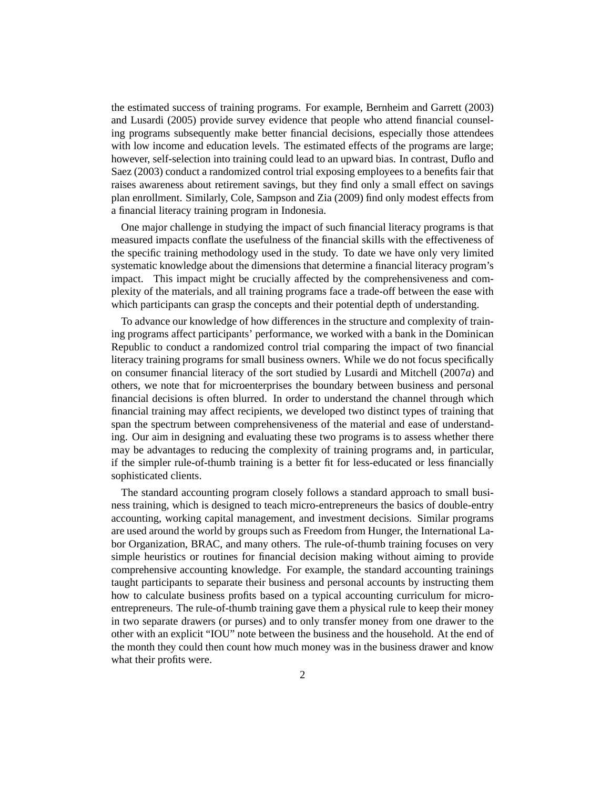the estimated success of training programs. For example, Bernheim and Garrett (2003) and Lusardi (2005) provide survey evidence that people who attend financial counseling programs subsequently make better financial decisions, especially those attendees with low income and education levels. The estimated effects of the programs are large; however, self-selection into training could lead to an upward bias. In contrast, Duflo and Saez (2003) conduct a randomized control trial exposing employees to a benefits fair that raises awareness about retirement savings, but they find only a small effect on savings plan enrollment. Similarly, Cole, Sampson and Zia (2009) find only modest effects from a financial literacy training program in Indonesia.

One major challenge in studying the impact of such financial literacy programs is that measured impacts conflate the usefulness of the financial skills with the effectiveness of the specific training methodology used in the study. To date we have only very limited systematic knowledge about the dimensions that determine a financial literacy program's impact. This impact might be crucially affected by the comprehensiveness and complexity of the materials, and all training programs face a trade-off between the ease with which participants can grasp the concepts and their potential depth of understanding.

To advance our knowledge of how differences in the structure and complexity of training programs affect participants' performance, we worked with a bank in the Dominican Republic to conduct a randomized control trial comparing the impact of two financial literacy training programs for small business owners. While we do not focus specifically on consumer financial literacy of the sort studied by Lusardi and Mitchell (2007*a*) and others, we note that for microenterprises the boundary between business and personal financial decisions is often blurred. In order to understand the channel through which financial training may affect recipients, we developed two distinct types of training that span the spectrum between comprehensiveness of the material and ease of understanding. Our aim in designing and evaluating these two programs is to assess whether there may be advantages to reducing the complexity of training programs and, in particular, if the simpler rule-of-thumb training is a better fit for less-educated or less financially sophisticated clients.

The standard accounting program closely follows a standard approach to small business training, which is designed to teach micro-entrepreneurs the basics of double-entry accounting, working capital management, and investment decisions. Similar programs are used around the world by groups such as Freedom from Hunger, the International Labor Organization, BRAC, and many others. The rule-of-thumb training focuses on very simple heuristics or routines for financial decision making without aiming to provide comprehensive accounting knowledge. For example, the standard accounting trainings taught participants to separate their business and personal accounts by instructing them how to calculate business profits based on a typical accounting curriculum for microentrepreneurs. The rule-of-thumb training gave them a physical rule to keep their money in two separate drawers (or purses) and to only transfer money from one drawer to the other with an explicit "IOU" note between the business and the household. At the end of the month they could then count how much money was in the business drawer and know what their profits were.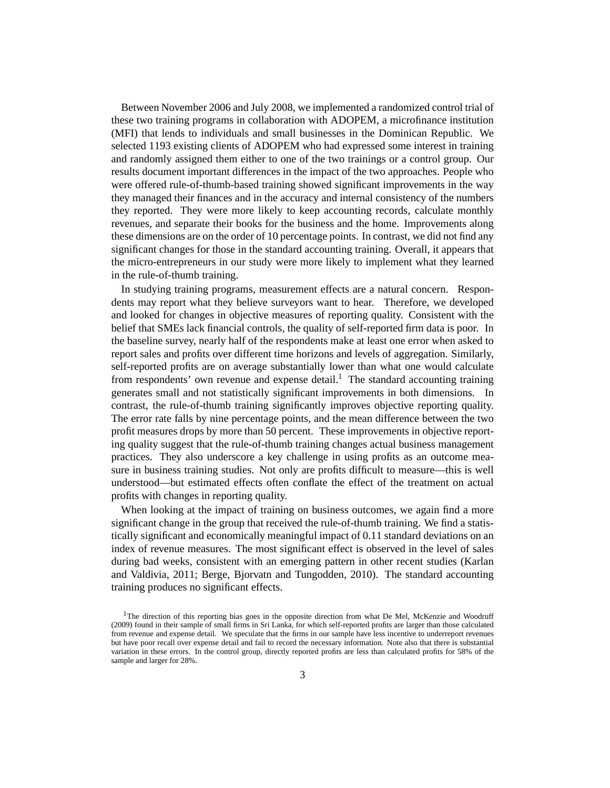Between November 2006 and July 2008, we implemented a randomized control trial of these two training programs in collaboration with ADOPEM, a microfinance institution (MFI) that lends to individuals and small businesses in the Dominican Republic. We selected 1193 existing clients of ADOPEM who had expressed some interest in training and randomly assigned them either to one of the two trainings or a control group. Our results document important differences in the impact of the two approaches. People who were offered rule-of-thumb-based training showed significant improvements in the way they managed their finances and in the accuracy and internal consistency of the numbers they reported. They were more likely to keep accounting records, calculate monthly revenues, and separate their books for the business and the home. Improvements along these dimensions are on the order of 10 percentage points. In contrast, we did not find any significant changes for those in the standard accounting training. Overall, it appears that the micro-entrepreneurs in our study were more likely to implement what they learned in the rule-of-thumb training.

In studying training programs, measurement effects are a natural concern. Respondents may report what they believe surveyors want to hear. Therefore, we developed and looked for changes in objective measures of reporting quality. Consistent with the belief that SMEs lack financial controls, the quality of self-reported firm data is poor. In the baseline survey, nearly half of the respondents make at least one error when asked to report sales and profits over different time horizons and levels of aggregation. Similarly, self-reported profits are on average substantially lower than what one would calculate from respondents' own revenue and expense detail.<sup>1</sup> The standard accounting training generates small and not statistically significant improvements in both dimensions. In contrast, the rule-of-thumb training significantly improves objective reporting quality. The error rate falls by nine percentage points, and the mean difference between the two profit measures drops by more than 50 percent. These improvements in objective reporting quality suggest that the rule-of-thumb training changes actual business management practices. They also underscore a key challenge in using profits as an outcome measure in business training studies. Not only are profits difficult to measure—this is well understood—but estimated effects often conflate the effect of the treatment on actual profits with changes in reporting quality.

When looking at the impact of training on business outcomes, we again find a more significant change in the group that received the rule-of-thumb training. We find a statistically significant and economically meaningful impact of 0.11 standard deviations on an index of revenue measures. The most significant effect is observed in the level of sales during bad weeks, consistent with an emerging pattern in other recent studies (Karlan and Valdivia, 2011; Berge, Bjorvatn and Tungodden, 2010). The standard accounting training produces no significant effects.

<sup>&</sup>lt;sup>1</sup>The direction of this reporting bias goes in the opposite direction from what De Mel, McKenzie and Woodruff (2009) found in their sample of small firms in Sri Lanka, for which self-reported profits are larger than those calculated from revenue and expense detail. We speculate that the firms in our sample have less incentive to underreport revenues but have poor recall over expense detail and fail to record the necessary information. Note also that there is substantial variation in these errors. In the control group, directly reported profits are less than calculated profits for 58% of the sample and larger for 28%.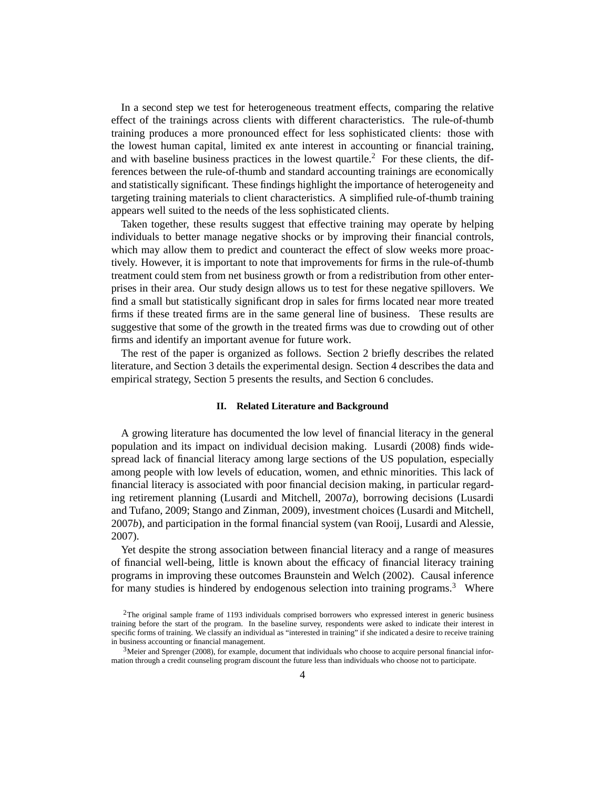In a second step we test for heterogeneous treatment effects, comparing the relative effect of the trainings across clients with different characteristics. The rule-of-thumb training produces a more pronounced effect for less sophisticated clients: those with the lowest human capital, limited ex ante interest in accounting or financial training, and with baseline business practices in the lowest quartile.<sup>2</sup> For these clients, the differences between the rule-of-thumb and standard accounting trainings are economically and statistically significant. These findings highlight the importance of heterogeneity and targeting training materials to client characteristics. A simplified rule-of-thumb training appears well suited to the needs of the less sophisticated clients.

Taken together, these results suggest that effective training may operate by helping individuals to better manage negative shocks or by improving their financial controls, which may allow them to predict and counteract the effect of slow weeks more proactively. However, it is important to note that improvements for firms in the rule-of-thumb treatment could stem from net business growth or from a redistribution from other enterprises in their area. Our study design allows us to test for these negative spillovers. We find a small but statistically significant drop in sales for firms located near more treated firms if these treated firms are in the same general line of business. These results are suggestive that some of the growth in the treated firms was due to crowding out of other firms and identify an important avenue for future work.

The rest of the paper is organized as follows. Section 2 briefly describes the related literature, and Section 3 details the experimental design. Section 4 describes the data and empirical strategy, Section 5 presents the results, and Section 6 concludes.

#### **II. Related Literature and Background**

A growing literature has documented the low level of financial literacy in the general population and its impact on individual decision making. Lusardi (2008) finds widespread lack of financial literacy among large sections of the US population, especially among people with low levels of education, women, and ethnic minorities. This lack of financial literacy is associated with poor financial decision making, in particular regarding retirement planning (Lusardi and Mitchell, 2007*a*), borrowing decisions (Lusardi and Tufano, 2009; Stango and Zinman, 2009), investment choices (Lusardi and Mitchell, 2007*b*), and participation in the formal financial system (van Rooij, Lusardi and Alessie, 2007).

Yet despite the strong association between financial literacy and a range of measures of financial well-being, little is known about the efficacy of financial literacy training programs in improving these outcomes Braunstein and Welch (2002). Causal inference for many studies is hindered by endogenous selection into training programs.<sup>3</sup> Where

<sup>2</sup>The original sample frame of 1193 individuals comprised borrowers who expressed interest in generic business training before the start of the program. In the baseline survey, respondents were asked to indicate their interest in specific forms of training. We classify an individual as "interested in training" if she indicated a desire to receive training in business accounting or financial management.

<sup>3</sup>Meier and Sprenger (2008), for example, document that individuals who choose to acquire personal financial information through a credit counseling program discount the future less than individuals who choose not to participate.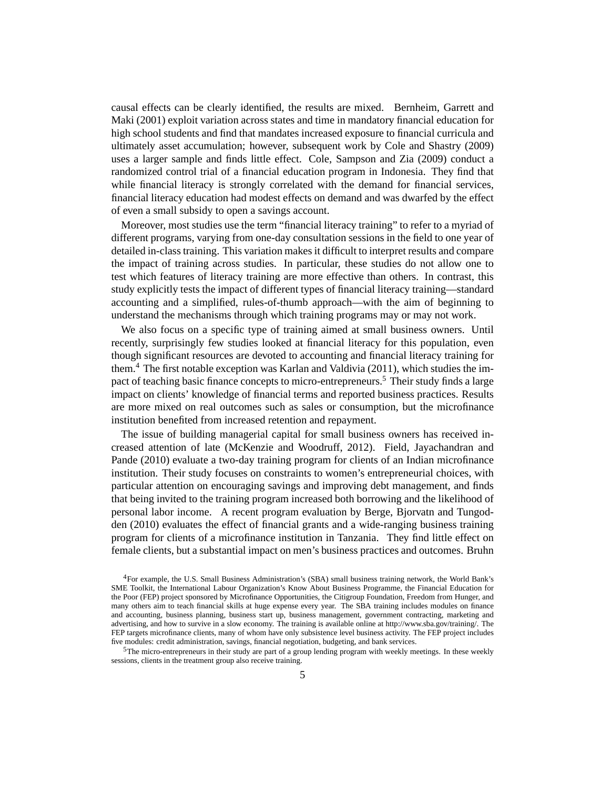causal effects can be clearly identified, the results are mixed. Bernheim, Garrett and Maki (2001) exploit variation across states and time in mandatory financial education for high school students and find that mandates increased exposure to financial curricula and ultimately asset accumulation; however, subsequent work by Cole and Shastry (2009) uses a larger sample and finds little effect. Cole, Sampson and Zia (2009) conduct a randomized control trial of a financial education program in Indonesia. They find that while financial literacy is strongly correlated with the demand for financial services, financial literacy education had modest effects on demand and was dwarfed by the effect of even a small subsidy to open a savings account.

Moreover, most studies use the term "financial literacy training" to refer to a myriad of different programs, varying from one-day consultation sessions in the field to one year of detailed in-class training. This variation makes it difficult to interpret results and compare the impact of training across studies. In particular, these studies do not allow one to test which features of literacy training are more effective than others. In contrast, this study explicitly tests the impact of different types of financial literacy training—standard accounting and a simplified, rules-of-thumb approach—with the aim of beginning to understand the mechanisms through which training programs may or may not work.

We also focus on a specific type of training aimed at small business owners. Until recently, surprisingly few studies looked at financial literacy for this population, even though significant resources are devoted to accounting and financial literacy training for them.<sup>4</sup> The first notable exception was Karlan and Valdivia (2011), which studies the impact of teaching basic finance concepts to micro-entrepreneurs.<sup>5</sup> Their study finds a large impact on clients' knowledge of financial terms and reported business practices. Results are more mixed on real outcomes such as sales or consumption, but the microfinance institution benefited from increased retention and repayment.

The issue of building managerial capital for small business owners has received increased attention of late (McKenzie and Woodruff, 2012). Field, Jayachandran and Pande (2010) evaluate a two-day training program for clients of an Indian microfinance institution. Their study focuses on constraints to women's entrepreneurial choices, with particular attention on encouraging savings and improving debt management, and finds that being invited to the training program increased both borrowing and the likelihood of personal labor income. A recent program evaluation by Berge, Bjorvatn and Tungodden (2010) evaluates the effect of financial grants and a wide-ranging business training program for clients of a microfinance institution in Tanzania. They find little effect on female clients, but a substantial impact on men's business practices and outcomes. Bruhn

<sup>4</sup>For example, the U.S. Small Business Administration's (SBA) small business training network, the World Bank's SME Toolkit, the International Labour Organization's Know About Business Programme, the Financial Education for the Poor (FEP) project sponsored by Microfinance Opportunities, the Citigroup Foundation, Freedom from Hunger, and many others aim to teach financial skills at huge expense every year. The SBA training includes modules on finance and accounting, business planning, business start up, business management, government contracting, marketing and advertising, and how to survive in a slow economy. The training is available online at http://www.sba.gov/training/. The FEP targets microfinance clients, many of whom have only subsistence level business activity. The FEP project includes five modules: credit administration, savings, financial negotiation, budgeting, and bank services.

<sup>5</sup>The micro-entrepreneurs in their study are part of a group lending program with weekly meetings. In these weekly sessions, clients in the treatment group also receive training.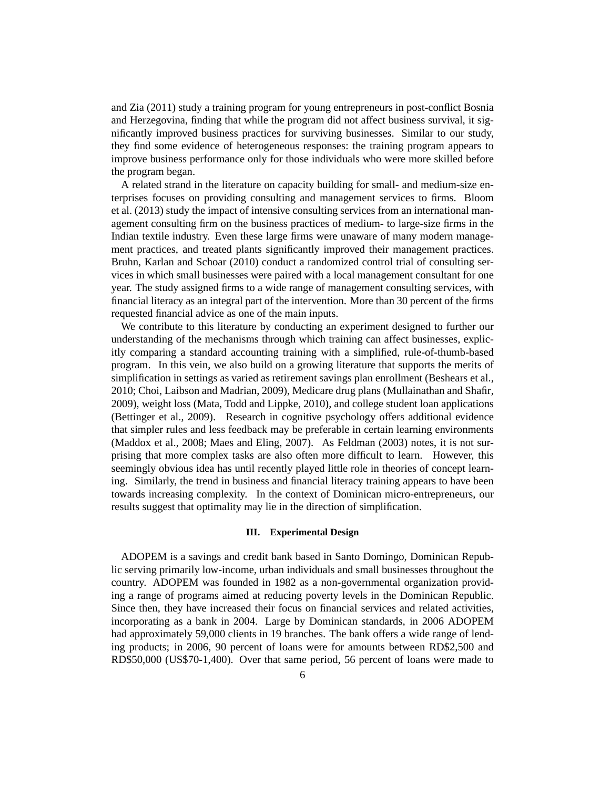and Zia (2011) study a training program for young entrepreneurs in post-conflict Bosnia and Herzegovina, finding that while the program did not affect business survival, it significantly improved business practices for surviving businesses. Similar to our study, they find some evidence of heterogeneous responses: the training program appears to improve business performance only for those individuals who were more skilled before the program began.

A related strand in the literature on capacity building for small- and medium-size enterprises focuses on providing consulting and management services to firms. Bloom et al. (2013) study the impact of intensive consulting services from an international management consulting firm on the business practices of medium- to large-size firms in the Indian textile industry. Even these large firms were unaware of many modern management practices, and treated plants significantly improved their management practices. Bruhn, Karlan and Schoar (2010) conduct a randomized control trial of consulting services in which small businesses were paired with a local management consultant for one year. The study assigned firms to a wide range of management consulting services, with financial literacy as an integral part of the intervention. More than 30 percent of the firms requested financial advice as one of the main inputs.

We contribute to this literature by conducting an experiment designed to further our understanding of the mechanisms through which training can affect businesses, explicitly comparing a standard accounting training with a simplified, rule-of-thumb-based program. In this vein, we also build on a growing literature that supports the merits of simplification in settings as varied as retirement savings plan enrollment (Beshears et al., 2010; Choi, Laibson and Madrian, 2009), Medicare drug plans (Mullainathan and Shafir, 2009), weight loss (Mata, Todd and Lippke, 2010), and college student loan applications (Bettinger et al., 2009). Research in cognitive psychology offers additional evidence that simpler rules and less feedback may be preferable in certain learning environments (Maddox et al., 2008; Maes and Eling, 2007). As Feldman (2003) notes, it is not surprising that more complex tasks are also often more difficult to learn. However, this seemingly obvious idea has until recently played little role in theories of concept learning. Similarly, the trend in business and financial literacy training appears to have been towards increasing complexity. In the context of Dominican micro-entrepreneurs, our results suggest that optimality may lie in the direction of simplification.

#### **III. Experimental Design**

ADOPEM is a savings and credit bank based in Santo Domingo, Dominican Republic serving primarily low-income, urban individuals and small businesses throughout the country. ADOPEM was founded in 1982 as a non-governmental organization providing a range of programs aimed at reducing poverty levels in the Dominican Republic. Since then, they have increased their focus on financial services and related activities, incorporating as a bank in 2004. Large by Dominican standards, in 2006 ADOPEM had approximately 59,000 clients in 19 branches. The bank offers a wide range of lending products; in 2006, 90 percent of loans were for amounts between RD\$2,500 and RD\$50,000 (US\$70-1,400). Over that same period, 56 percent of loans were made to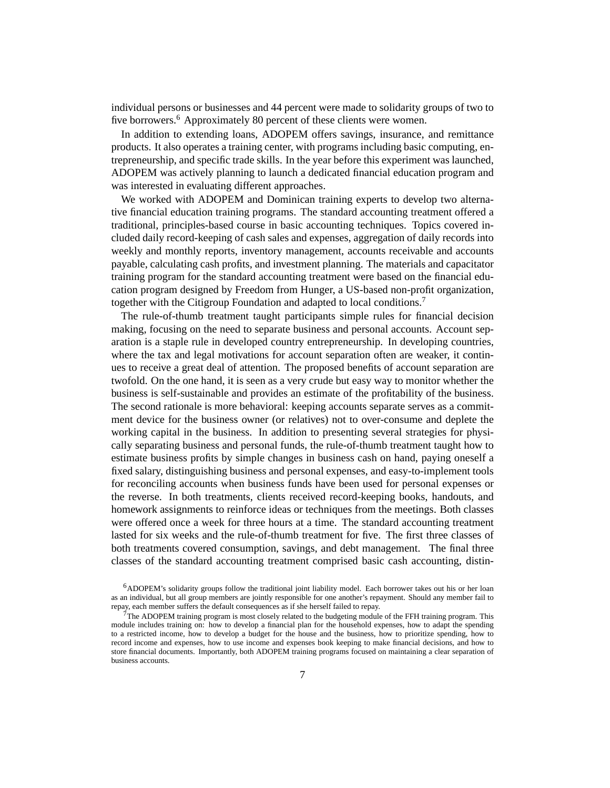individual persons or businesses and 44 percent were made to solidarity groups of two to five borrowers.<sup>6</sup> Approximately 80 percent of these clients were women.

In addition to extending loans, ADOPEM offers savings, insurance, and remittance products. It also operates a training center, with programs including basic computing, entrepreneurship, and specific trade skills. In the year before this experiment was launched, ADOPEM was actively planning to launch a dedicated financial education program and was interested in evaluating different approaches.

We worked with ADOPEM and Dominican training experts to develop two alternative financial education training programs. The standard accounting treatment offered a traditional, principles-based course in basic accounting techniques. Topics covered included daily record-keeping of cash sales and expenses, aggregation of daily records into weekly and monthly reports, inventory management, accounts receivable and accounts payable, calculating cash profits, and investment planning. The materials and capacitator training program for the standard accounting treatment were based on the financial education program designed by Freedom from Hunger, a US-based non-profit organization, together with the Citigroup Foundation and adapted to local conditions.<sup>7</sup>

The rule-of-thumb treatment taught participants simple rules for financial decision making, focusing on the need to separate business and personal accounts. Account separation is a staple rule in developed country entrepreneurship. In developing countries, where the tax and legal motivations for account separation often are weaker, it continues to receive a great deal of attention. The proposed benefits of account separation are twofold. On the one hand, it is seen as a very crude but easy way to monitor whether the business is self-sustainable and provides an estimate of the profitability of the business. The second rationale is more behavioral: keeping accounts separate serves as a commitment device for the business owner (or relatives) not to over-consume and deplete the working capital in the business. In addition to presenting several strategies for physically separating business and personal funds, the rule-of-thumb treatment taught how to estimate business profits by simple changes in business cash on hand, paying oneself a fixed salary, distinguishing business and personal expenses, and easy-to-implement tools for reconciling accounts when business funds have been used for personal expenses or the reverse. In both treatments, clients received record-keeping books, handouts, and homework assignments to reinforce ideas or techniques from the meetings. Both classes were offered once a week for three hours at a time. The standard accounting treatment lasted for six weeks and the rule-of-thumb treatment for five. The first three classes of both treatments covered consumption, savings, and debt management. The final three classes of the standard accounting treatment comprised basic cash accounting, distin-

<sup>&</sup>lt;sup>6</sup>ADOPEM's solidarity groups follow the traditional joint liability model. Each borrower takes out his or her loan as an individual, but all group members are jointly responsible for one another's repayment. Should any member fail to repay, each member suffers the default consequences as if she herself failed to repay.

 $^{7}$ The ADOPEM training program is most closely related to the budgeting module of the FFH training program. This module includes training on: how to develop a financial plan for the household expenses, how to adapt the spending to a restricted income, how to develop a budget for the house and the business, how to prioritize spending, how to record income and expenses, how to use income and expenses book keeping to make financial decisions, and how to store financial documents. Importantly, both ADOPEM training programs focused on maintaining a clear separation of business accounts.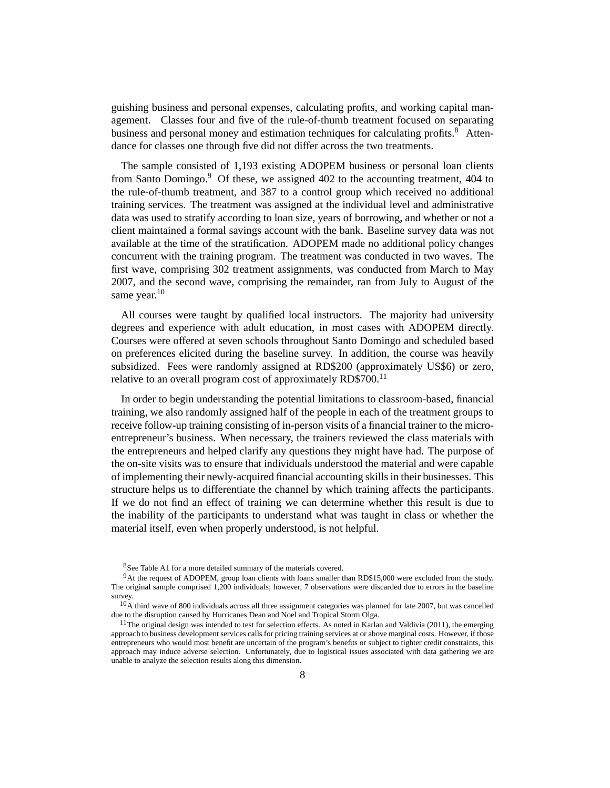guishing business and personal expenses, calculating profits, and working capital management. Classes four and five of the rule-of-thumb treatment focused on separating business and personal money and estimation techniques for calculating profits.<sup>8</sup> Attendance for classes one through five did not differ across the two treatments.

The sample consisted of 1,193 existing ADOPEM business or personal loan clients from Santo Domingo.<sup>9</sup> Of these, we assigned 402 to the accounting treatment, 404 to the rule-of-thumb treatment, and 387 to a control group which received no additional training services. The treatment was assigned at the individual level and administrative data was used to stratify according to loan size, years of borrowing, and whether or not a client maintained a formal savings account with the bank. Baseline survey data was not available at the time of the stratification. ADOPEM made no additional policy changes concurrent with the training program. The treatment was conducted in two waves. The first wave, comprising 302 treatment assignments, was conducted from March to May 2007, and the second wave, comprising the remainder, ran from July to August of the same year.<sup>10</sup>

All courses were taught by qualified local instructors. The majority had university degrees and experience with adult education, in most cases with ADOPEM directly. Courses were offered at seven schools throughout Santo Domingo and scheduled based on preferences elicited during the baseline survey. In addition, the course was heavily subsidized. Fees were randomly assigned at RD\$200 (approximately US\$6) or zero, relative to an overall program cost of approximately RD\$700.<sup>11</sup>

In order to begin understanding the potential limitations to classroom-based, financial training, we also randomly assigned half of the people in each of the treatment groups to receive follow-up training consisting of in-person visits of a financial trainer to the microentrepreneur's business. When necessary, the trainers reviewed the class materials with the entrepreneurs and helped clarify any questions they might have had. The purpose of the on-site visits was to ensure that individuals understood the material and were capable of implementing their newly-acquired financial accounting skills in their businesses. This structure helps us to differentiate the channel by which training affects the participants. If we do not find an effect of training we can determine whether this result is due to the inability of the participants to understand what was taught in class or whether the material itself, even when properly understood, is not helpful.

<sup>8</sup>See Table A1 for a more detailed summary of the materials covered.

<sup>&</sup>lt;sup>9</sup>At the request of ADOPEM, group loan clients with loans smaller than RD\$15,000 were excluded from the study. The original sample comprised 1,200 individuals; however, 7 observations were discarded due to errors in the baseline survey.

 $10$ A third wave of 800 individuals across all three assignment categories was planned for late 2007, but was cancelled due to the disruption caused by Hurricanes Dean and Noel and Tropical Storm Olga.

<sup>&</sup>lt;sup>11</sup>The original design was intended to test for selection effects. As noted in Karlan and Valdivia (2011), the emerging approach to business development services calls for pricing training services at or above marginal costs. However, if those entrepreneurs who would most benefit are uncertain of the program's benefits or subject to tighter credit constraints, this approach may induce adverse selection. Unfortunately, due to logistical issues associated with data gathering we are unable to analyze the selection results along this dimension.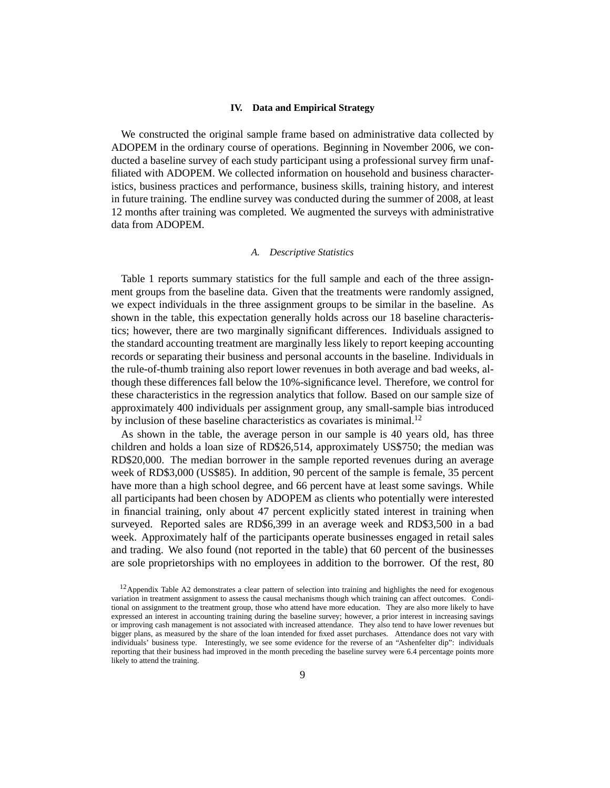#### **IV. Data and Empirical Strategy**

We constructed the original sample frame based on administrative data collected by ADOPEM in the ordinary course of operations. Beginning in November 2006, we conducted a baseline survey of each study participant using a professional survey firm unaffiliated with ADOPEM. We collected information on household and business characteristics, business practices and performance, business skills, training history, and interest in future training. The endline survey was conducted during the summer of 2008, at least 12 months after training was completed. We augmented the surveys with administrative data from ADOPEM.

#### *A. Descriptive Statistics*

Table 1 reports summary statistics for the full sample and each of the three assignment groups from the baseline data. Given that the treatments were randomly assigned, we expect individuals in the three assignment groups to be similar in the baseline. As shown in the table, this expectation generally holds across our 18 baseline characteristics; however, there are two marginally significant differences. Individuals assigned to the standard accounting treatment are marginally less likely to report keeping accounting records or separating their business and personal accounts in the baseline. Individuals in the rule-of-thumb training also report lower revenues in both average and bad weeks, although these differences fall below the 10%-significance level. Therefore, we control for these characteristics in the regression analytics that follow. Based on our sample size of approximately 400 individuals per assignment group, any small-sample bias introduced by inclusion of these baseline characteristics as covariates is minimal.<sup>12</sup>

As shown in the table, the average person in our sample is 40 years old, has three children and holds a loan size of RD\$26,514, approximately US\$750; the median was RD\$20,000. The median borrower in the sample reported revenues during an average week of RD\$3,000 (US\$85). In addition, 90 percent of the sample is female, 35 percent have more than a high school degree, and 66 percent have at least some savings. While all participants had been chosen by ADOPEM as clients who potentially were interested in financial training, only about 47 percent explicitly stated interest in training when surveyed. Reported sales are RD\$6,399 in an average week and RD\$3,500 in a bad week. Approximately half of the participants operate businesses engaged in retail sales and trading. We also found (not reported in the table) that 60 percent of the businesses are sole proprietorships with no employees in addition to the borrower. Of the rest, 80

<sup>&</sup>lt;sup>12</sup> Appendix Table A2 demonstrates a clear pattern of selection into training and highlights the need for exogenous variation in treatment assignment to assess the causal mechanisms though which training can affect outcomes. Conditional on assignment to the treatment group, those who attend have more education. They are also more likely to have expressed an interest in accounting training during the baseline survey; however, a prior interest in increasing savings or improving cash management is not associated with increased attendance. They also tend to have lower revenues but bigger plans, as measured by the share of the loan intended for fixed asset purchases. Attendance does not vary with individuals' business type. Interestingly, we see some evidence for the reverse of an "Ashenfelter dip": individuals reporting that their business had improved in the month preceding the baseline survey were 6.4 percentage points more likely to attend the training.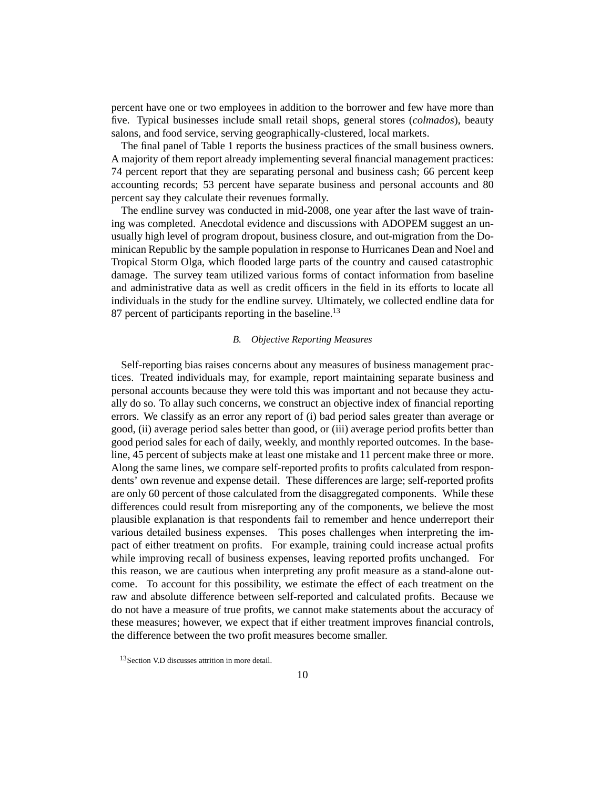percent have one or two employees in addition to the borrower and few have more than five. Typical businesses include small retail shops, general stores (*colmados*), beauty salons, and food service, serving geographically-clustered, local markets.

The final panel of Table 1 reports the business practices of the small business owners. A majority of them report already implementing several financial management practices: 74 percent report that they are separating personal and business cash; 66 percent keep accounting records; 53 percent have separate business and personal accounts and 80 percent say they calculate their revenues formally.

The endline survey was conducted in mid-2008, one year after the last wave of training was completed. Anecdotal evidence and discussions with ADOPEM suggest an unusually high level of program dropout, business closure, and out-migration from the Dominican Republic by the sample population in response to Hurricanes Dean and Noel and Tropical Storm Olga, which flooded large parts of the country and caused catastrophic damage. The survey team utilized various forms of contact information from baseline and administrative data as well as credit officers in the field in its efforts to locate all individuals in the study for the endline survey. Ultimately, we collected endline data for 87 percent of participants reporting in the baseline.<sup>13</sup>

#### *B. Objective Reporting Measures*

Self-reporting bias raises concerns about any measures of business management practices. Treated individuals may, for example, report maintaining separate business and personal accounts because they were told this was important and not because they actually do so. To allay such concerns, we construct an objective index of financial reporting errors. We classify as an error any report of (i) bad period sales greater than average or good, (ii) average period sales better than good, or (iii) average period profits better than good period sales for each of daily, weekly, and monthly reported outcomes. In the baseline, 45 percent of subjects make at least one mistake and 11 percent make three or more. Along the same lines, we compare self-reported profits to profits calculated from respondents' own revenue and expense detail. These differences are large; self-reported profits are only 60 percent of those calculated from the disaggregated components. While these differences could result from misreporting any of the components, we believe the most plausible explanation is that respondents fail to remember and hence underreport their various detailed business expenses. This poses challenges when interpreting the impact of either treatment on profits. For example, training could increase actual profits while improving recall of business expenses, leaving reported profits unchanged. For this reason, we are cautious when interpreting any profit measure as a stand-alone outcome. To account for this possibility, we estimate the effect of each treatment on the raw and absolute difference between self-reported and calculated profits. Because we do not have a measure of true profits, we cannot make statements about the accuracy of these measures; however, we expect that if either treatment improves financial controls, the difference between the two profit measures become smaller.

<sup>&</sup>lt;sup>13</sup> Section V.D discusses attrition in more detail.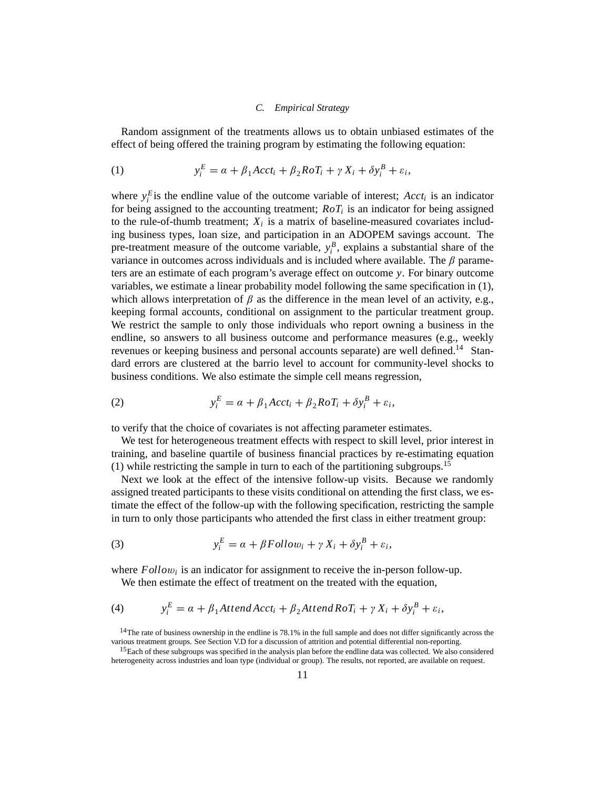#### *C. Empirical Strategy*

Random assignment of the treatments allows us to obtain unbiased estimates of the effect of being offered the training program by estimating the following equation:

(1) 
$$
y_i^E = \alpha + \beta_1 Acct_i + \beta_2 RoT_i + \gamma X_i + \delta y_i^B + \varepsilon_i,
$$

where  $y_i^E$  is the endline value of the outcome variable of interest; *Acct<sub>i</sub>* is an indicator for being assigned to the accounting treatment;  $RoT_i$  is an indicator for being assigned to the rule-of-thumb treatment;  $X_i$  is a matrix of baseline-measured covariates including business types, loan size, and participation in an ADOPEM savings account. The pre-treatment measure of the outcome variable,  $y_i^B$ , explains a substantial share of the variance in outcomes across individuals and is included where available. The  $\beta$  parameters are an estimate of each program's average effect on outcome *y*. For binary outcome variables, we estimate a linear probability model following the same specification in (1), which allows interpretation of  $\beta$  as the difference in the mean level of an activity, e.g., keeping formal accounts, conditional on assignment to the particular treatment group. We restrict the sample to only those individuals who report owning a business in the endline, so answers to all business outcome and performance measures (e.g., weekly revenues or keeping business and personal accounts separate) are well defined.<sup>14</sup> Standard errors are clustered at the barrio level to account for community-level shocks to business conditions. We also estimate the simple cell means regression,

(2) 
$$
y_i^E = \alpha + \beta_1 Acct_i + \beta_2 RoT_i + \delta y_i^B + \varepsilon_i,
$$

to verify that the choice of covariates is not affecting parameter estimates.

We test for heterogeneous treatment effects with respect to skill level, prior interest in training, and baseline quartile of business financial practices by re-estimating equation (1) while restricting the sample in turn to each of the partitioning subgroups.<sup>15</sup>

Next we look at the effect of the intensive follow-up visits. Because we randomly assigned treated participants to these visits conditional on attending the first class, we estimate the effect of the follow-up with the following specification, restricting the sample in turn to only those participants who attended the first class in either treatment group:

(3) 
$$
y_i^E = a + \beta Follow_i + \gamma X_i + \delta y_i^B + \varepsilon_i,
$$

where  $Follow<sub>i</sub>$  is an indicator for assignment to receive the in-person follow-up. We then estimate the effect of treatment on the treated with the equation,

(4) 
$$
y_i^E = \alpha + \beta_1 \text{Attend} \text{Act}_i + \beta_2 \text{Attend} \text{RoT}_i + \gamma X_i + \delta y_i^B + \varepsilon_i,
$$

<sup>&</sup>lt;sup>14</sup>The rate of business ownership in the endline is 78.1% in the full sample and does not differ significantly across the various treatment groups. See Section V.D for a discussion of attrition and potential differential non-reporting.

<sup>&</sup>lt;sup>15</sup>Each of these subgroups was specified in the analysis plan before the endline data was collected. We also considered heterogeneity across industries and loan type (individual or group). The results, not reported, are available on request.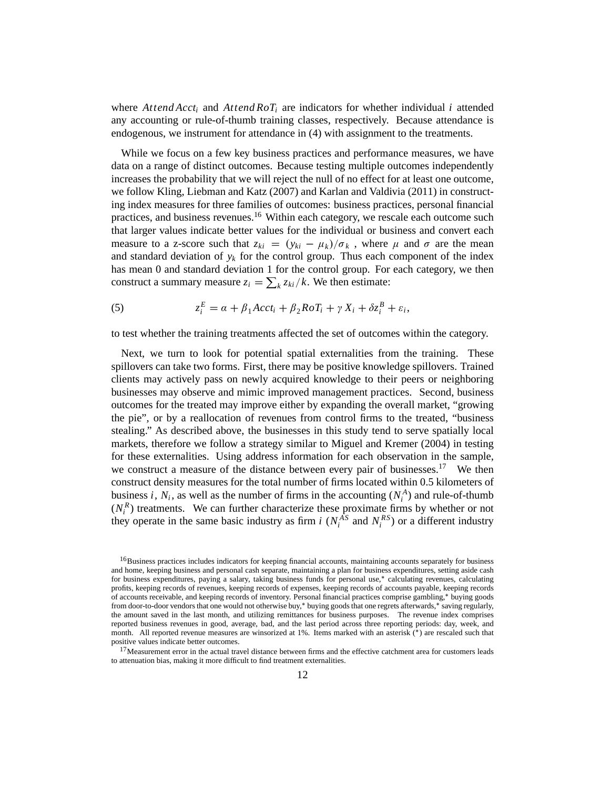where *Attend Acct<sup>i</sup>* and *Attend RoT<sup>i</sup>* are indicators for whether individual *i* attended any accounting or rule-of-thumb training classes, respectively. Because attendance is endogenous, we instrument for attendance in (4) with assignment to the treatments.

While we focus on a few key business practices and performance measures, we have data on a range of distinct outcomes. Because testing multiple outcomes independently increases the probability that we will reject the null of no effect for at least one outcome, we follow Kling, Liebman and Katz (2007) and Karlan and Valdivia (2011) in constructing index measures for three families of outcomes: business practices, personal financial practices, and business revenues.<sup>16</sup> Within each category, we rescale each outcome such that larger values indicate better values for the individual or business and convert each measure to a z-score such that  $z_{ki} = (y_{ki} - \mu_k)/\sigma_k$ , where  $\mu$  and  $\sigma$  are the mean and standard deviation of  $y_k$  for the control group. Thus each component of the index has mean 0 and standard deviation 1 for the control group. For each category, we then construct a summary measure  $z_i = \sum_k z_{ki}/k$ . We then estimate:

(5) 
$$
z_i^E = \alpha + \beta_1 Acct_i + \beta_2 RoT_i + \gamma X_i + \delta z_i^B + \varepsilon_i,
$$

to test whether the training treatments affected the set of outcomes within the category.

Next, we turn to look for potential spatial externalities from the training. These spillovers can take two forms. First, there may be positive knowledge spillovers. Trained clients may actively pass on newly acquired knowledge to their peers or neighboring businesses may observe and mimic improved management practices. Second, business outcomes for the treated may improve either by expanding the overall market, "growing the pie", or by a reallocation of revenues from control firms to the treated, "business stealing." As described above, the businesses in this study tend to serve spatially local markets, therefore we follow a strategy similar to Miguel and Kremer (2004) in testing for these externalities. Using address information for each observation in the sample, we construct a measure of the distance between every pair of businesses.<sup>17</sup> We then construct density measures for the total number of firms located within 0.5 kilometers of business *i*,  $N_i$ , as well as the number of firms in the accounting  $(N_i^A)$  and rule-of-thumb  $(N_i^R)$  treatments. We can further characterize these proximate firms by whether or not they operate in the same basic industry as firm *i* ( $N_i^{AS}$  and  $N_i^{RS}$ ) or a different industry

<sup>&</sup>lt;sup>16</sup>Business practices includes indicators for keeping financial accounts, maintaining accounts separately for business and home, keeping business and personal cash separate, maintaining a plan for business expenditures, setting aside cash for business expenditures, paying a salary, taking business funds for personal use,\* calculating revenues, calculating profits, keeping records of revenues, keeping records of expenses, keeping records of accounts payable, keeping records of accounts receivable, and keeping records of inventory. Personal financial practices comprise gambling, buying goods from door-to-door vendors that one would not otherwise buy,\* buying goods that one regrets afterwards,\* saving regularly, the amount saved in the last month, and utilizing remittances for business purposes. The revenue index comprises reported business revenues in good, average, bad, and the last period across three reporting periods: day, week, and month. All reported revenue measures are winsorized at 1%. Items marked with an asterisk (\*) are rescaled such that positive values indicate better outcomes.

<sup>&</sup>lt;sup>17</sup>Measurement error in the actual travel distance between firms and the effective catchment area for customers leads to attenuation bias, making it more difficult to find treatment externalities.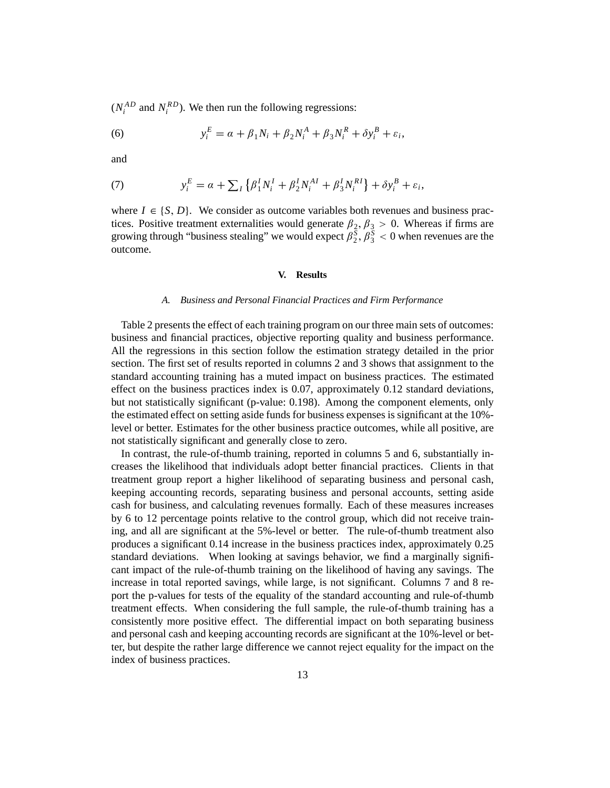$(N_i^{AD}$  and  $N_i^{RD}$ ). We then run the following regressions:

(6) 
$$
y_i^E = a + \beta_1 N_i + \beta_2 N_i^A + \beta_3 N_i^R + \delta y_i^B + \varepsilon_i,
$$

and

(7) 
$$
y_i^E = a + \sum_l \left\{ \beta_1^I N_i^I + \beta_2^I N_i^{AI} + \beta_3^I N_i^{RI} \right\} + \delta y_i^B + \varepsilon_i,
$$

where  $I \in \{S, D\}$ . We consider as outcome variables both revenues and business practices. Positive treatment externalities would generate  $\beta_2$ ,  $\beta_3 > 0$ . Whereas if firms are growing through "business stealing" we would expect  $\beta_2^S$ ,  $\beta_3^S$  < 0 when revenues are the outcome.

#### **V. Results**

#### *A. Business and Personal Financial Practices and Firm Performance*

Table 2 presents the effect of each training program on our three main sets of outcomes: business and financial practices, objective reporting quality and business performance. All the regressions in this section follow the estimation strategy detailed in the prior section. The first set of results reported in columns 2 and 3 shows that assignment to the standard accounting training has a muted impact on business practices. The estimated effect on the business practices index is 0.07, approximately 0.12 standard deviations, but not statistically significant (p-value: 0.198). Among the component elements, only the estimated effect on setting aside funds for business expenses is significant at the 10% level or better. Estimates for the other business practice outcomes, while all positive, are not statistically significant and generally close to zero.

In contrast, the rule-of-thumb training, reported in columns 5 and 6, substantially increases the likelihood that individuals adopt better financial practices. Clients in that treatment group report a higher likelihood of separating business and personal cash, keeping accounting records, separating business and personal accounts, setting aside cash for business, and calculating revenues formally. Each of these measures increases by 6 to 12 percentage points relative to the control group, which did not receive training, and all are significant at the 5%-level or better. The rule-of-thumb treatment also produces a significant 0.14 increase in the business practices index, approximately 0.25 standard deviations. When looking at savings behavior, we find a marginally significant impact of the rule-of-thumb training on the likelihood of having any savings. The increase in total reported savings, while large, is not significant. Columns 7 and 8 report the p-values for tests of the equality of the standard accounting and rule-of-thumb treatment effects. When considering the full sample, the rule-of-thumb training has a consistently more positive effect. The differential impact on both separating business and personal cash and keeping accounting records are significant at the 10%-level or better, but despite the rather large difference we cannot reject equality for the impact on the index of business practices.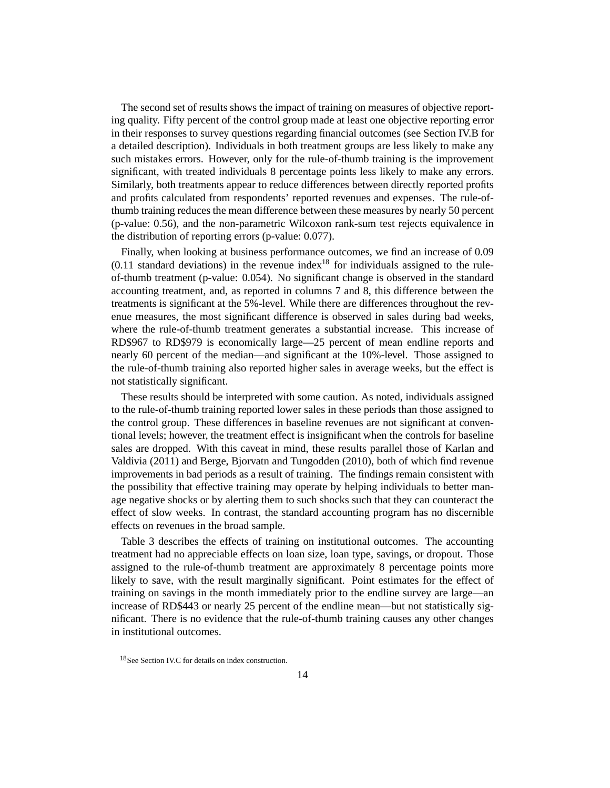The second set of results shows the impact of training on measures of objective reporting quality. Fifty percent of the control group made at least one objective reporting error in their responses to survey questions regarding financial outcomes (see Section IV.B for a detailed description). Individuals in both treatment groups are less likely to make any such mistakes errors. However, only for the rule-of-thumb training is the improvement significant, with treated individuals 8 percentage points less likely to make any errors. Similarly, both treatments appear to reduce differences between directly reported profits and profits calculated from respondents' reported revenues and expenses. The rule-ofthumb training reduces the mean difference between these measures by nearly 50 percent (p-value: 0.56), and the non-parametric Wilcoxon rank-sum test rejects equivalence in the distribution of reporting errors (p-value: 0.077).

Finally, when looking at business performance outcomes, we find an increase of 0.09  $(0.11$  standard deviations) in the revenue index<sup>18</sup> for individuals assigned to the ruleof-thumb treatment (p-value: 0.054). No significant change is observed in the standard accounting treatment, and, as reported in columns 7 and 8, this difference between the treatments is significant at the 5%-level. While there are differences throughout the revenue measures, the most significant difference is observed in sales during bad weeks, where the rule-of-thumb treatment generates a substantial increase. This increase of RD\$967 to RD\$979 is economically large—25 percent of mean endline reports and nearly 60 percent of the median—and significant at the 10%-level. Those assigned to the rule-of-thumb training also reported higher sales in average weeks, but the effect is not statistically significant.

These results should be interpreted with some caution. As noted, individuals assigned to the rule-of-thumb training reported lower sales in these periods than those assigned to the control group. These differences in baseline revenues are not significant at conventional levels; however, the treatment effect is insignificant when the controls for baseline sales are dropped. With this caveat in mind, these results parallel those of Karlan and Valdivia (2011) and Berge, Bjorvatn and Tungodden (2010), both of which find revenue improvements in bad periods as a result of training. The findings remain consistent with the possibility that effective training may operate by helping individuals to better manage negative shocks or by alerting them to such shocks such that they can counteract the effect of slow weeks. In contrast, the standard accounting program has no discernible effects on revenues in the broad sample.

Table 3 describes the effects of training on institutional outcomes. The accounting treatment had no appreciable effects on loan size, loan type, savings, or dropout. Those assigned to the rule-of-thumb treatment are approximately 8 percentage points more likely to save, with the result marginally significant. Point estimates for the effect of training on savings in the month immediately prior to the endline survey are large—an increase of RD\$443 or nearly 25 percent of the endline mean—but not statistically significant. There is no evidence that the rule-of-thumb training causes any other changes in institutional outcomes.

<sup>18</sup>See Section IV.C for details on index construction.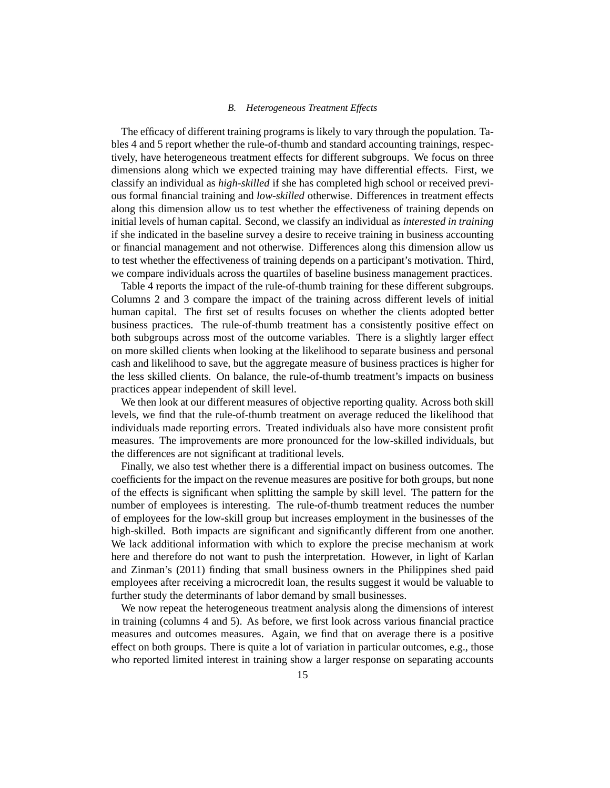#### *B. Heterogeneous Treatment Effects*

The efficacy of different training programs is likely to vary through the population. Tables 4 and 5 report whether the rule-of-thumb and standard accounting trainings, respectively, have heterogeneous treatment effects for different subgroups. We focus on three dimensions along which we expected training may have differential effects. First, we classify an individual as *high-skilled* if she has completed high school or received previous formal financial training and *low-skilled* otherwise. Differences in treatment effects along this dimension allow us to test whether the effectiveness of training depends on initial levels of human capital. Second, we classify an individual as *interested in training* if she indicated in the baseline survey a desire to receive training in business accounting or financial management and not otherwise. Differences along this dimension allow us to test whether the effectiveness of training depends on a participant's motivation. Third, we compare individuals across the quartiles of baseline business management practices.

Table 4 reports the impact of the rule-of-thumb training for these different subgroups. Columns 2 and 3 compare the impact of the training across different levels of initial human capital. The first set of results focuses on whether the clients adopted better business practices. The rule-of-thumb treatment has a consistently positive effect on both subgroups across most of the outcome variables. There is a slightly larger effect on more skilled clients when looking at the likelihood to separate business and personal cash and likelihood to save, but the aggregate measure of business practices is higher for the less skilled clients. On balance, the rule-of-thumb treatment's impacts on business practices appear independent of skill level.

We then look at our different measures of objective reporting quality. Across both skill levels, we find that the rule-of-thumb treatment on average reduced the likelihood that individuals made reporting errors. Treated individuals also have more consistent profit measures. The improvements are more pronounced for the low-skilled individuals, but the differences are not significant at traditional levels.

Finally, we also test whether there is a differential impact on business outcomes. The coefficients for the impact on the revenue measures are positive for both groups, but none of the effects is significant when splitting the sample by skill level. The pattern for the number of employees is interesting. The rule-of-thumb treatment reduces the number of employees for the low-skill group but increases employment in the businesses of the high-skilled. Both impacts are significant and significantly different from one another. We lack additional information with which to explore the precise mechanism at work here and therefore do not want to push the interpretation. However, in light of Karlan and Zinman's (2011) finding that small business owners in the Philippines shed paid employees after receiving a microcredit loan, the results suggest it would be valuable to further study the determinants of labor demand by small businesses.

We now repeat the heterogeneous treatment analysis along the dimensions of interest in training (columns 4 and 5). As before, we first look across various financial practice measures and outcomes measures. Again, we find that on average there is a positive effect on both groups. There is quite a lot of variation in particular outcomes, e.g., those who reported limited interest in training show a larger response on separating accounts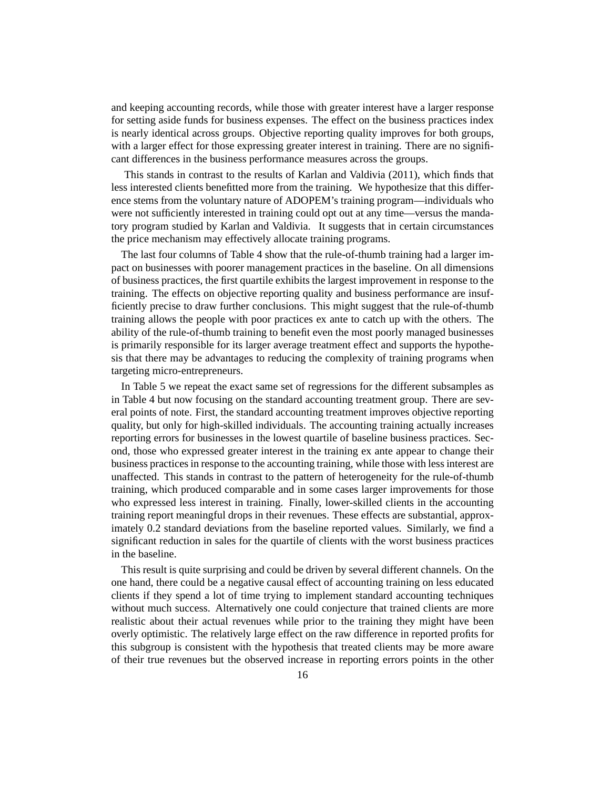and keeping accounting records, while those with greater interest have a larger response for setting aside funds for business expenses. The effect on the business practices index is nearly identical across groups. Objective reporting quality improves for both groups, with a larger effect for those expressing greater interest in training. There are no significant differences in the business performance measures across the groups.

This stands in contrast to the results of Karlan and Valdivia (2011), which finds that less interested clients benefitted more from the training. We hypothesize that this difference stems from the voluntary nature of ADOPEM's training program—individuals who were not sufficiently interested in training could opt out at any time—versus the mandatory program studied by Karlan and Valdivia. It suggests that in certain circumstances the price mechanism may effectively allocate training programs.

The last four columns of Table 4 show that the rule-of-thumb training had a larger impact on businesses with poorer management practices in the baseline. On all dimensions of business practices, the first quartile exhibits the largest improvement in response to the training. The effects on objective reporting quality and business performance are insufficiently precise to draw further conclusions. This might suggest that the rule-of-thumb training allows the people with poor practices ex ante to catch up with the others. The ability of the rule-of-thumb training to benefit even the most poorly managed businesses is primarily responsible for its larger average treatment effect and supports the hypothesis that there may be advantages to reducing the complexity of training programs when targeting micro-entrepreneurs.

In Table 5 we repeat the exact same set of regressions for the different subsamples as in Table 4 but now focusing on the standard accounting treatment group. There are several points of note. First, the standard accounting treatment improves objective reporting quality, but only for high-skilled individuals. The accounting training actually increases reporting errors for businesses in the lowest quartile of baseline business practices. Second, those who expressed greater interest in the training ex ante appear to change their business practices in response to the accounting training, while those with less interest are unaffected. This stands in contrast to the pattern of heterogeneity for the rule-of-thumb training, which produced comparable and in some cases larger improvements for those who expressed less interest in training. Finally, lower-skilled clients in the accounting training report meaningful drops in their revenues. These effects are substantial, approximately 0.2 standard deviations from the baseline reported values. Similarly, we find a significant reduction in sales for the quartile of clients with the worst business practices in the baseline.

This result is quite surprising and could be driven by several different channels. On the one hand, there could be a negative causal effect of accounting training on less educated clients if they spend a lot of time trying to implement standard accounting techniques without much success. Alternatively one could conjecture that trained clients are more realistic about their actual revenues while prior to the training they might have been overly optimistic. The relatively large effect on the raw difference in reported profits for this subgroup is consistent with the hypothesis that treated clients may be more aware of their true revenues but the observed increase in reporting errors points in the other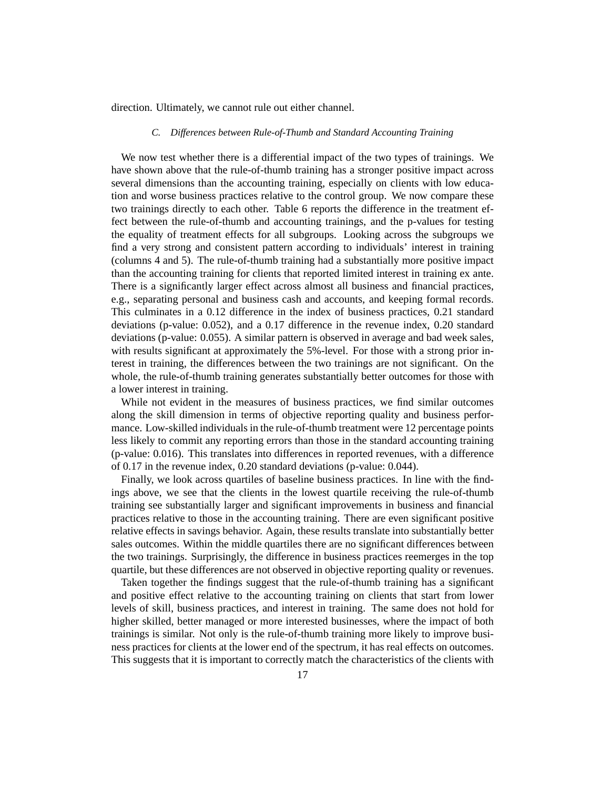direction. Ultimately, we cannot rule out either channel.

#### *C. Differences between Rule-of-Thumb and Standard Accounting Training*

We now test whether there is a differential impact of the two types of trainings. We have shown above that the rule-of-thumb training has a stronger positive impact across several dimensions than the accounting training, especially on clients with low education and worse business practices relative to the control group. We now compare these two trainings directly to each other. Table 6 reports the difference in the treatment effect between the rule-of-thumb and accounting trainings, and the p-values for testing the equality of treatment effects for all subgroups. Looking across the subgroups we find a very strong and consistent pattern according to individuals' interest in training (columns 4 and 5). The rule-of-thumb training had a substantially more positive impact than the accounting training for clients that reported limited interest in training ex ante. There is a significantly larger effect across almost all business and financial practices, e.g., separating personal and business cash and accounts, and keeping formal records. This culminates in a 0.12 difference in the index of business practices, 0.21 standard deviations (p-value: 0.052), and a 0.17 difference in the revenue index, 0.20 standard deviations (p-value: 0.055). A similar pattern is observed in average and bad week sales, with results significant at approximately the 5%-level. For those with a strong prior interest in training, the differences between the two trainings are not significant. On the whole, the rule-of-thumb training generates substantially better outcomes for those with a lower interest in training.

While not evident in the measures of business practices, we find similar outcomes along the skill dimension in terms of objective reporting quality and business performance. Low-skilled individuals in the rule-of-thumb treatment were 12 percentage points less likely to commit any reporting errors than those in the standard accounting training (p-value: 0.016). This translates into differences in reported revenues, with a difference of 0.17 in the revenue index, 0.20 standard deviations (p-value: 0.044).

Finally, we look across quartiles of baseline business practices. In line with the findings above, we see that the clients in the lowest quartile receiving the rule-of-thumb training see substantially larger and significant improvements in business and financial practices relative to those in the accounting training. There are even significant positive relative effects in savings behavior. Again, these results translate into substantially better sales outcomes. Within the middle quartiles there are no significant differences between the two trainings. Surprisingly, the difference in business practices reemerges in the top quartile, but these differences are not observed in objective reporting quality or revenues.

Taken together the findings suggest that the rule-of-thumb training has a significant and positive effect relative to the accounting training on clients that start from lower levels of skill, business practices, and interest in training. The same does not hold for higher skilled, better managed or more interested businesses, where the impact of both trainings is similar. Not only is the rule-of-thumb training more likely to improve business practices for clients at the lower end of the spectrum, it has real effects on outcomes. This suggests that it is important to correctly match the characteristics of the clients with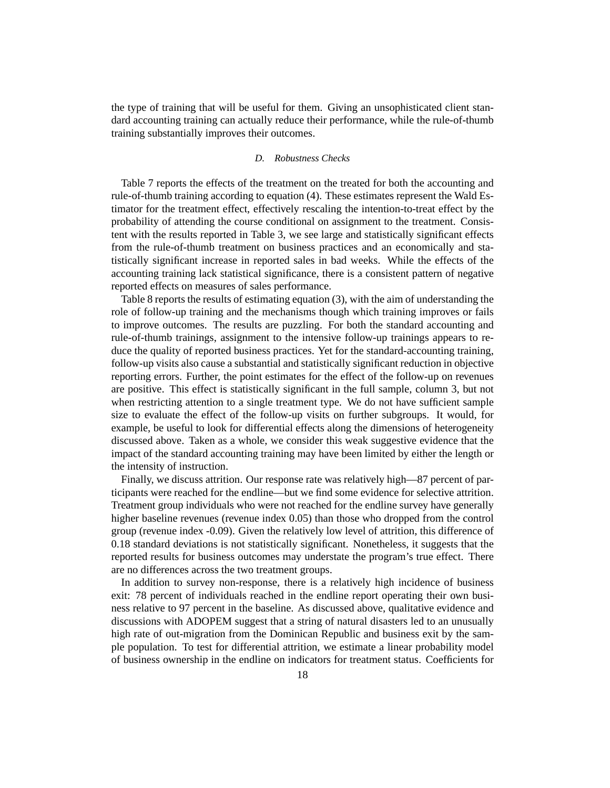the type of training that will be useful for them. Giving an unsophisticated client standard accounting training can actually reduce their performance, while the rule-of-thumb training substantially improves their outcomes.

#### *D. Robustness Checks*

Table 7 reports the effects of the treatment on the treated for both the accounting and rule-of-thumb training according to equation (4). These estimates represent the Wald Estimator for the treatment effect, effectively rescaling the intention-to-treat effect by the probability of attending the course conditional on assignment to the treatment. Consistent with the results reported in Table 3, we see large and statistically significant effects from the rule-of-thumb treatment on business practices and an economically and statistically significant increase in reported sales in bad weeks. While the effects of the accounting training lack statistical significance, there is a consistent pattern of negative reported effects on measures of sales performance.

Table 8 reports the results of estimating equation (3), with the aim of understanding the role of follow-up training and the mechanisms though which training improves or fails to improve outcomes. The results are puzzling. For both the standard accounting and rule-of-thumb trainings, assignment to the intensive follow-up trainings appears to reduce the quality of reported business practices. Yet for the standard-accounting training, follow-up visits also cause a substantial and statistically significant reduction in objective reporting errors. Further, the point estimates for the effect of the follow-up on revenues are positive. This effect is statistically significant in the full sample, column 3, but not when restricting attention to a single treatment type. We do not have sufficient sample size to evaluate the effect of the follow-up visits on further subgroups. It would, for example, be useful to look for differential effects along the dimensions of heterogeneity discussed above. Taken as a whole, we consider this weak suggestive evidence that the impact of the standard accounting training may have been limited by either the length or the intensity of instruction.

Finally, we discuss attrition. Our response rate was relatively high—87 percent of participants were reached for the endline—but we find some evidence for selective attrition. Treatment group individuals who were not reached for the endline survey have generally higher baseline revenues (revenue index 0.05) than those who dropped from the control group (revenue index -0.09). Given the relatively low level of attrition, this difference of 0.18 standard deviations is not statistically significant. Nonetheless, it suggests that the reported results for business outcomes may understate the program's true effect. There are no differences across the two treatment groups.

In addition to survey non-response, there is a relatively high incidence of business exit: 78 percent of individuals reached in the endline report operating their own business relative to 97 percent in the baseline. As discussed above, qualitative evidence and discussions with ADOPEM suggest that a string of natural disasters led to an unusually high rate of out-migration from the Dominican Republic and business exit by the sample population. To test for differential attrition, we estimate a linear probability model of business ownership in the endline on indicators for treatment status. Coefficients for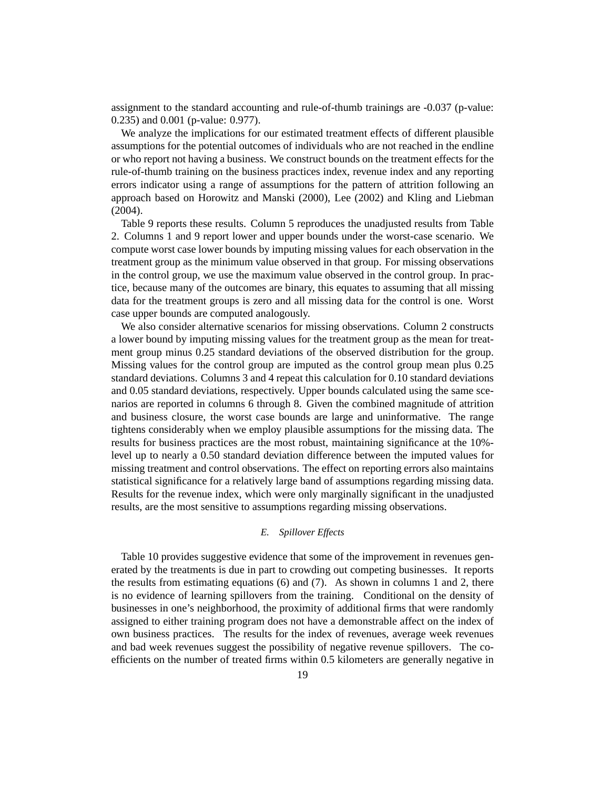assignment to the standard accounting and rule-of-thumb trainings are -0.037 (p-value: 0.235) and 0.001 (p-value: 0.977).

We analyze the implications for our estimated treatment effects of different plausible assumptions for the potential outcomes of individuals who are not reached in the endline or who report not having a business. We construct bounds on the treatment effects for the rule-of-thumb training on the business practices index, revenue index and any reporting errors indicator using a range of assumptions for the pattern of attrition following an approach based on Horowitz and Manski (2000), Lee (2002) and Kling and Liebman (2004).

Table 9 reports these results. Column 5 reproduces the unadjusted results from Table 2. Columns 1 and 9 report lower and upper bounds under the worst-case scenario. We compute worst case lower bounds by imputing missing values for each observation in the treatment group as the minimum value observed in that group. For missing observations in the control group, we use the maximum value observed in the control group. In practice, because many of the outcomes are binary, this equates to assuming that all missing data for the treatment groups is zero and all missing data for the control is one. Worst case upper bounds are computed analogously.

We also consider alternative scenarios for missing observations. Column 2 constructs a lower bound by imputing missing values for the treatment group as the mean for treatment group minus 0.25 standard deviations of the observed distribution for the group. Missing values for the control group are imputed as the control group mean plus 0.25 standard deviations. Columns 3 and 4 repeat this calculation for 0.10 standard deviations and 0.05 standard deviations, respectively. Upper bounds calculated using the same scenarios are reported in columns 6 through 8. Given the combined magnitude of attrition and business closure, the worst case bounds are large and uninformative. The range tightens considerably when we employ plausible assumptions for the missing data. The results for business practices are the most robust, maintaining significance at the 10% level up to nearly a 0.50 standard deviation difference between the imputed values for missing treatment and control observations. The effect on reporting errors also maintains statistical significance for a relatively large band of assumptions regarding missing data. Results for the revenue index, which were only marginally significant in the unadjusted results, are the most sensitive to assumptions regarding missing observations.

#### *E. Spillover Effects*

Table 10 provides suggestive evidence that some of the improvement in revenues generated by the treatments is due in part to crowding out competing businesses. It reports the results from estimating equations  $(6)$  and  $(7)$ . As shown in columns 1 and 2, there is no evidence of learning spillovers from the training. Conditional on the density of businesses in one's neighborhood, the proximity of additional firms that were randomly assigned to either training program does not have a demonstrable affect on the index of own business practices. The results for the index of revenues, average week revenues and bad week revenues suggest the possibility of negative revenue spillovers. The coefficients on the number of treated firms within 0.5 kilometers are generally negative in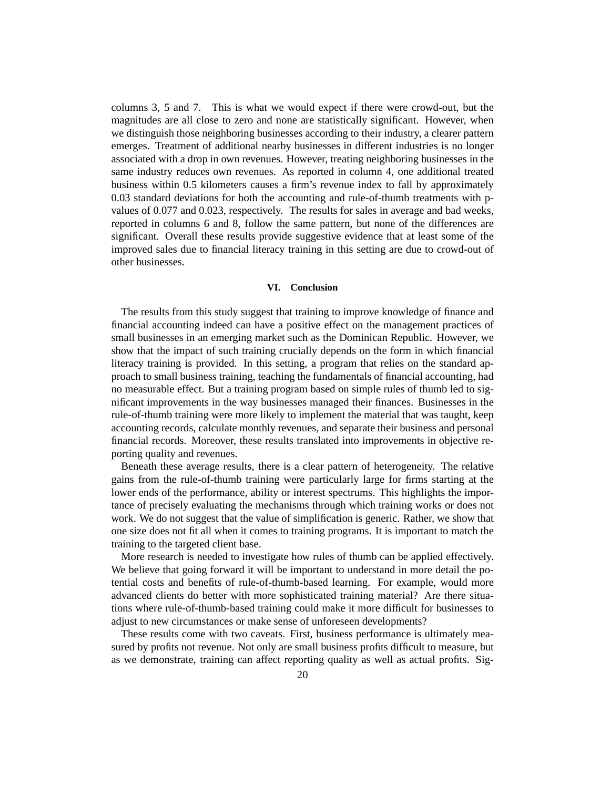columns 3, 5 and 7. This is what we would expect if there were crowd-out, but the magnitudes are all close to zero and none are statistically significant. However, when we distinguish those neighboring businesses according to their industry, a clearer pattern emerges. Treatment of additional nearby businesses in different industries is no longer associated with a drop in own revenues. However, treating neighboring businesses in the same industry reduces own revenues. As reported in column 4, one additional treated business within 0.5 kilometers causes a firm's revenue index to fall by approximately 0.03 standard deviations for both the accounting and rule-of-thumb treatments with pvalues of 0.077 and 0.023, respectively. The results for sales in average and bad weeks, reported in columns 6 and 8, follow the same pattern, but none of the differences are significant. Overall these results provide suggestive evidence that at least some of the improved sales due to financial literacy training in this setting are due to crowd-out of other businesses.

#### **VI. Conclusion**

The results from this study suggest that training to improve knowledge of finance and financial accounting indeed can have a positive effect on the management practices of small businesses in an emerging market such as the Dominican Republic. However, we show that the impact of such training crucially depends on the form in which financial literacy training is provided. In this setting, a program that relies on the standard approach to small business training, teaching the fundamentals of financial accounting, had no measurable effect. But a training program based on simple rules of thumb led to significant improvements in the way businesses managed their finances. Businesses in the rule-of-thumb training were more likely to implement the material that was taught, keep accounting records, calculate monthly revenues, and separate their business and personal financial records. Moreover, these results translated into improvements in objective reporting quality and revenues.

Beneath these average results, there is a clear pattern of heterogeneity. The relative gains from the rule-of-thumb training were particularly large for firms starting at the lower ends of the performance, ability or interest spectrums. This highlights the importance of precisely evaluating the mechanisms through which training works or does not work. We do not suggest that the value of simplification is generic. Rather, we show that one size does not fit all when it comes to training programs. It is important to match the training to the targeted client base.

More research is needed to investigate how rules of thumb can be applied effectively. We believe that going forward it will be important to understand in more detail the potential costs and benefits of rule-of-thumb-based learning. For example, would more advanced clients do better with more sophisticated training material? Are there situations where rule-of-thumb-based training could make it more difficult for businesses to adjust to new circumstances or make sense of unforeseen developments?

These results come with two caveats. First, business performance is ultimately measured by profits not revenue. Not only are small business profits difficult to measure, but as we demonstrate, training can affect reporting quality as well as actual profits. Sig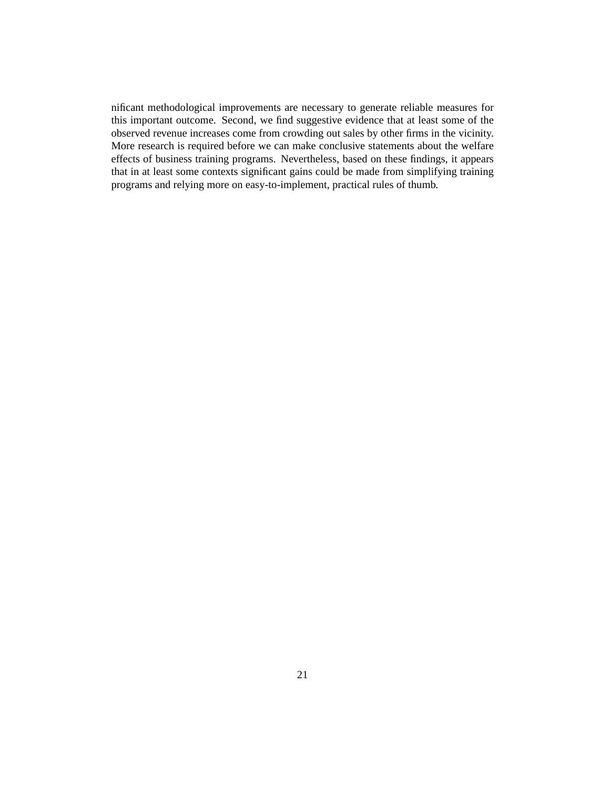nificant methodological improvements are necessary to generate reliable measures for this important outcome. Second, we find suggestive evidence that at least some of the observed revenue increases come from crowding out sales by other firms in the vicinity. More research is required before we can make conclusive statements about the welfare effects of business training programs. Nevertheless, based on these findings, it appears that in at least some contexts significant gains could be made from simplifying training programs and relying more on easy-to-implement, practical rules of thumb.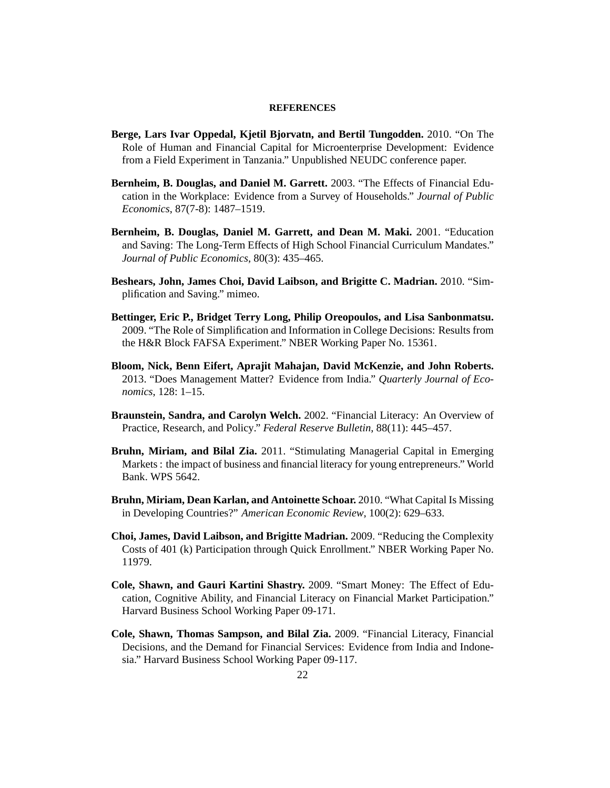#### **REFERENCES**

- **Berge, Lars Ivar Oppedal, Kjetil Bjorvatn, and Bertil Tungodden.** 2010. "On The Role of Human and Financial Capital for Microenterprise Development: Evidence from a Field Experiment in Tanzania." Unpublished NEUDC conference paper.
- **Bernheim, B. Douglas, and Daniel M. Garrett.** 2003. "The Effects of Financial Education in the Workplace: Evidence from a Survey of Households." *Journal of Public Economics*, 87(7-8): 1487–1519.
- **Bernheim, B. Douglas, Daniel M. Garrett, and Dean M. Maki.** 2001. "Education and Saving: The Long-Term Effects of High School Financial Curriculum Mandates." *Journal of Public Economics*, 80(3): 435–465.
- **Beshears, John, James Choi, David Laibson, and Brigitte C. Madrian.** 2010. "Simplification and Saving." mimeo.
- **Bettinger, Eric P., Bridget Terry Long, Philip Oreopoulos, and Lisa Sanbonmatsu.** 2009. "The Role of Simplification and Information in College Decisions: Results from the H&R Block FAFSA Experiment." NBER Working Paper No. 15361.
- **Bloom, Nick, Benn Eifert, Aprajit Mahajan, David McKenzie, and John Roberts.** 2013. "Does Management Matter? Evidence from India." *Quarterly Journal of Economics*, 128: 1–15.
- **Braunstein, Sandra, and Carolyn Welch.** 2002. "Financial Literacy: An Overview of Practice, Research, and Policy." *Federal Reserve Bulletin*, 88(11): 445–457.
- **Bruhn, Miriam, and Bilal Zia.** 2011. "Stimulating Managerial Capital in Emerging Markets : the impact of business and financial literacy for young entrepreneurs." World Bank. WPS 5642.
- **Bruhn, Miriam, Dean Karlan, and Antoinette Schoar.** 2010. "What Capital Is Missing in Developing Countries?" *American Economic Review*, 100(2): 629–633.
- **Choi, James, David Laibson, and Brigitte Madrian.** 2009. "Reducing the Complexity Costs of 401 (k) Participation through Quick Enrollment." NBER Working Paper No. 11979.
- **Cole, Shawn, and Gauri Kartini Shastry.** 2009. "Smart Money: The Effect of Education, Cognitive Ability, and Financial Literacy on Financial Market Participation." Harvard Business School Working Paper 09-171.
- **Cole, Shawn, Thomas Sampson, and Bilal Zia.** 2009. "Financial Literacy, Financial Decisions, and the Demand for Financial Services: Evidence from India and Indonesia." Harvard Business School Working Paper 09-117.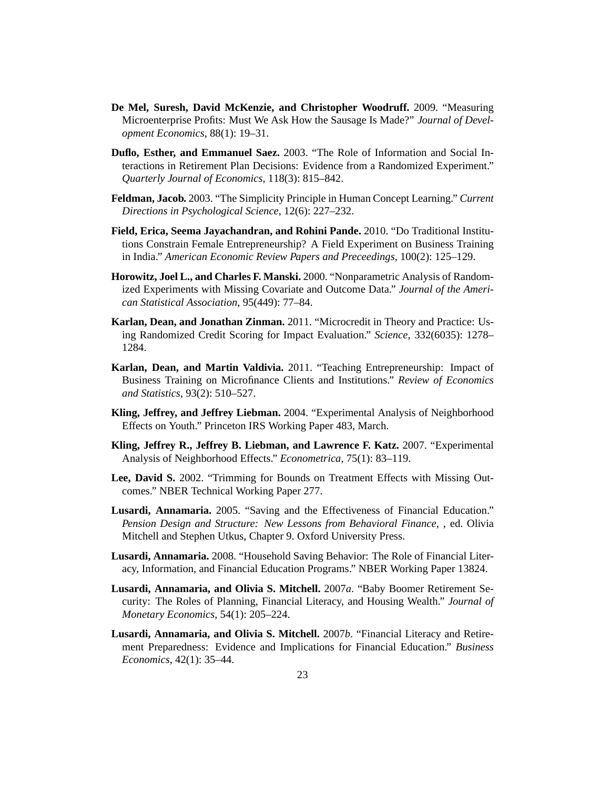- **De Mel, Suresh, David McKenzie, and Christopher Woodruff.** 2009. "Measuring Microenterprise Profits: Must We Ask How the Sausage Is Made?" *Journal of Development Economics*, 88(1): 19–31.
- **Duflo, Esther, and Emmanuel Saez.** 2003. "The Role of Information and Social Interactions in Retirement Plan Decisions: Evidence from a Randomized Experiment." *Quarterly Journal of Economics*, 118(3): 815–842.
- **Feldman, Jacob.** 2003. "The Simplicity Principle in Human Concept Learning." *Current Directions in Psychological Science*, 12(6): 227–232.
- **Field, Erica, Seema Jayachandran, and Rohini Pande.** 2010. "Do Traditional Institutions Constrain Female Entrepreneurship? A Field Experiment on Business Training in India." *American Economic Review Papers and Preceedings*, 100(2): 125–129.
- **Horowitz, Joel L., and Charles F. Manski.** 2000. "Nonparametric Analysis of Randomized Experiments with Missing Covariate and Outcome Data." *Journal of the American Statistical Association*, 95(449): 77–84.
- **Karlan, Dean, and Jonathan Zinman.** 2011. "Microcredit in Theory and Practice: Using Randomized Credit Scoring for Impact Evaluation." *Science*, 332(6035): 1278– 1284.
- **Karlan, Dean, and Martin Valdivia.** 2011. "Teaching Entrepreneurship: Impact of Business Training on Microfinance Clients and Institutions." *Review of Economics and Statistics*, 93(2): 510–527.
- **Kling, Jeffrey, and Jeffrey Liebman.** 2004. "Experimental Analysis of Neighborhood Effects on Youth." Princeton IRS Working Paper 483, March.
- **Kling, Jeffrey R., Jeffrey B. Liebman, and Lawrence F. Katz.** 2007. "Experimental Analysis of Neighborhood Effects." *Econometrica*, 75(1): 83–119.
- **Lee, David S.** 2002. "Trimming for Bounds on Treatment Effects with Missing Outcomes." NBER Technical Working Paper 277.
- **Lusardi, Annamaria.** 2005. "Saving and the Effectiveness of Financial Education." *Pension Design and Structure: New Lessons from Behavioral Finance*, , ed. Olivia Mitchell and Stephen Utkus, Chapter 9. Oxford University Press.
- **Lusardi, Annamaria.** 2008. "Household Saving Behavior: The Role of Financial Literacy, Information, and Financial Education Programs." NBER Working Paper 13824.
- **Lusardi, Annamaria, and Olivia S. Mitchell.** 2007*a*. "Baby Boomer Retirement Security: The Roles of Planning, Financial Literacy, and Housing Wealth." *Journal of Monetary Economics*, 54(1): 205–224.
- **Lusardi, Annamaria, and Olivia S. Mitchell.** 2007*b*. "Financial Literacy and Retirement Preparedness: Evidence and Implications for Financial Education." *Business Economics*, 42(1): 35–44.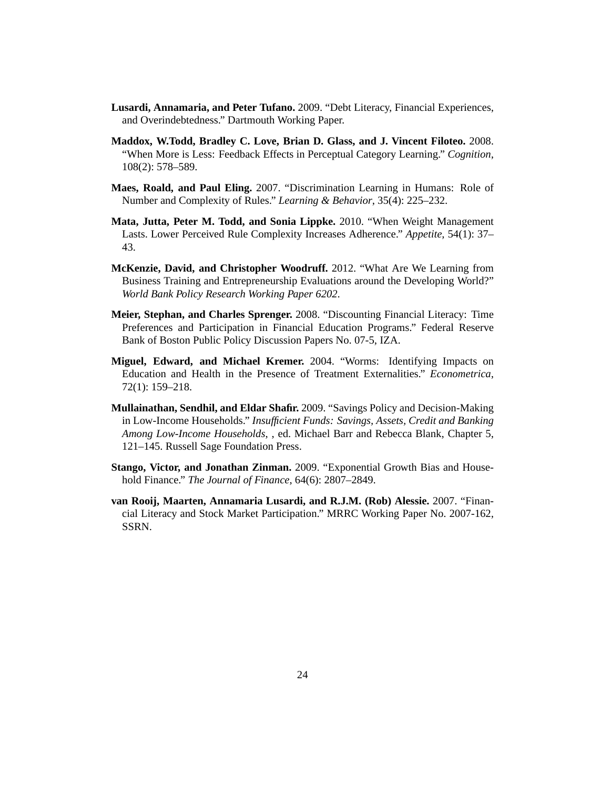- **Lusardi, Annamaria, and Peter Tufano.** 2009. "Debt Literacy, Financial Experiences, and Overindebtedness." Dartmouth Working Paper.
- **Maddox, W.Todd, Bradley C. Love, Brian D. Glass, and J. Vincent Filoteo.** 2008. "When More is Less: Feedback Effects in Perceptual Category Learning." *Cognition*, 108(2): 578–589.
- **Maes, Roald, and Paul Eling.** 2007. "Discrimination Learning in Humans: Role of Number and Complexity of Rules." *Learning & Behavior*, 35(4): 225–232.
- **Mata, Jutta, Peter M. Todd, and Sonia Lippke.** 2010. "When Weight Management Lasts. Lower Perceived Rule Complexity Increases Adherence." *Appetite*, 54(1): 37– 43.
- **McKenzie, David, and Christopher Woodruff.** 2012. "What Are We Learning from Business Training and Entrepreneurship Evaluations around the Developing World?" *World Bank Policy Research Working Paper 6202*.
- **Meier, Stephan, and Charles Sprenger.** 2008. "Discounting Financial Literacy: Time Preferences and Participation in Financial Education Programs." Federal Reserve Bank of Boston Public Policy Discussion Papers No. 07-5, IZA.
- **Miguel, Edward, and Michael Kremer.** 2004. "Worms: Identifying Impacts on Education and Health in the Presence of Treatment Externalities." *Econometrica*, 72(1): 159–218.
- **Mullainathan, Sendhil, and Eldar Shafir.** 2009. "Savings Policy and Decision-Making in Low-Income Households." *Insufficient Funds: Savings, Assets, Credit and Banking Among Low-Income Households*, , ed. Michael Barr and Rebecca Blank, Chapter 5, 121–145. Russell Sage Foundation Press.
- **Stango, Victor, and Jonathan Zinman.** 2009. "Exponential Growth Bias and Household Finance." *The Journal of Finance*, 64(6): 2807–2849.
- **van Rooij, Maarten, Annamaria Lusardi, and R.J.M. (Rob) Alessie.** 2007. "Financial Literacy and Stock Market Participation." MRRC Working Paper No. 2007-162, SSRN.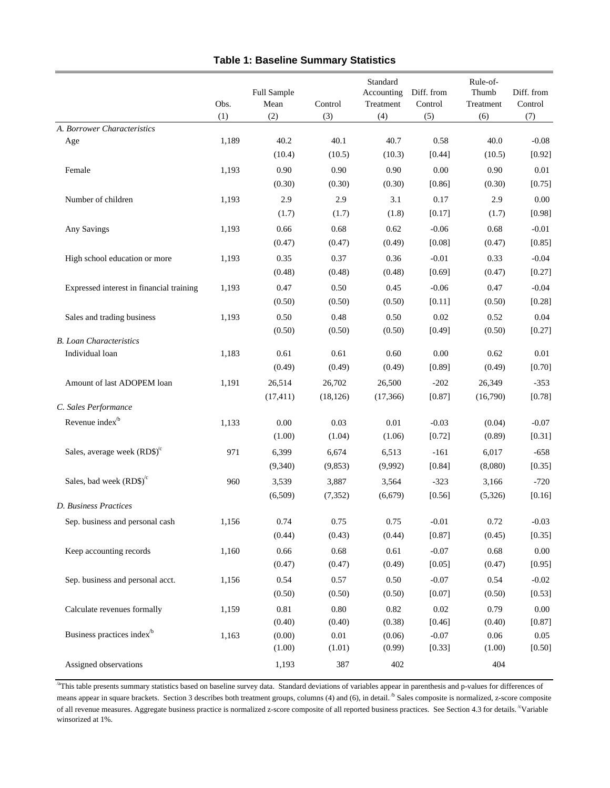|                                          |       | Full Sample |           | Standard<br>Accounting | Diff. from | Rule-of-<br>Thumb | Diff. from |
|------------------------------------------|-------|-------------|-----------|------------------------|------------|-------------------|------------|
|                                          | Obs.  | Mean        | Control   | Treatment              | Control    | Treatment         | Control    |
|                                          | (1)   | (2)         | (3)       | (4)                    | (5)        | (6)               | (7)        |
| A. Borrower Characteristics              |       |             |           |                        |            |                   |            |
| Age                                      | 1,189 | 40.2        | 40.1      | 40.7                   | 0.58       | 40.0              | $-0.08$    |
|                                          |       | (10.4)      | (10.5)    | (10.3)                 | [0.44]     | (10.5)            | [0.92]     |
| Female                                   | 1,193 | 0.90        | 0.90      | 0.90                   | 0.00       | 0.90              | 0.01       |
|                                          |       | (0.30)      | (0.30)    | (0.30)                 | [0.86]     | (0.30)            | [0.75]     |
| Number of children                       | 1,193 | 2.9         | 2.9       | 3.1                    | 0.17       | 2.9               | 0.00       |
|                                          |       | (1.7)       | (1.7)     | (1.8)                  | [0.17]     | (1.7)             | [0.98]     |
| Any Savings                              | 1,193 | 0.66        | 0.68      | 0.62                   | $-0.06$    | 0.68              | $-0.01$    |
|                                          |       | (0.47)      | (0.47)    | (0.49)                 | [0.08]     | (0.47)            | [0.85]     |
| High school education or more            | 1,193 | 0.35        | 0.37      | 0.36                   | $-0.01$    | 0.33              | $-0.04$    |
|                                          |       | (0.48)      | (0.48)    | (0.48)                 | [0.69]     | (0.47)            | [0.27]     |
| Expressed interest in financial training | 1,193 | 0.47        | 0.50      | 0.45                   | $-0.06$    | 0.47              | $-0.04$    |
|                                          |       | (0.50)      | (0.50)    | (0.50)                 | [0.11]     | (0.50)            | [0.28]     |
| Sales and trading business               | 1,193 | 0.50        | 0.48      | 0.50                   | 0.02       | 0.52              | 0.04       |
|                                          |       | (0.50)      | (0.50)    | (0.50)                 | [0.49]     | (0.50)            | [0.27]     |
| <b>B.</b> Loan Characteristics           |       |             |           |                        |            |                   |            |
| Individual loan                          | 1,183 | 0.61        | 0.61      | 0.60                   | 0.00       | 0.62              | 0.01       |
|                                          |       | (0.49)      | (0.49)    | (0.49)                 | [0.89]     | (0.49)            | [0.70]     |
| Amount of last ADOPEM loan               | 1,191 | 26,514      | 26,702    | 26,500                 | $-202$     | 26,349            | $-353$     |
|                                          |       | (17, 411)   | (18, 126) | (17,366)               | [0.87]     | (16,790)          | [0.78]     |
| C. Sales Performance                     |       |             |           |                        |            |                   |            |
| Revenue index <sup>b</sup>               | 1,133 | 0.00        | 0.03      | 0.01                   | $-0.03$    | (0.04)            | $-0.07$    |
|                                          |       | (1.00)      | (1.04)    | (1.06)                 | [0.72]     | (0.89)            | [0.31]     |
| Sales, average week $(RDS)^c$            | 971   | 6,399       | 6,674     | 6,513                  | $-161$     | 6,017             | $-658$     |
|                                          |       | (9,340)     | (9,853)   | (9,992)                | [0.84]     | (8,080)           | [0.35]     |
| Sales, bad week $(RDS)^{c}$              | 960   | 3,539       | 3,887     | 3,564                  | $-323$     | 3,166             | $-720$     |
|                                          |       | (6,509)     | (7, 352)  | (6,679)                | [0.56]     | (5,326)           | [0.16]     |
| <b>D.</b> Business Practices             |       |             |           |                        |            |                   |            |
| Sep. business and personal cash          | 1,156 | 0.74        | 0.75      | 0.75                   | $-0.01$    | 0.72              | $-0.03$    |
|                                          |       | (0.44)      | (0.43)    | (0.44)                 | [0.87]     | (0.45)            | [0.35]     |
| Keep accounting records                  | 1,160 | 0.66        | 0.68      | 0.61                   | $-0.07$    | 0.68              | 0.00       |
|                                          |       | (0.47)      | (0.47)    | (0.49)                 | [0.05]     | (0.47)            | [0.95]     |
| Sep. business and personal acct.         | 1,156 | 0.54        | 0.57      | 0.50                   | $-0.07$    | 0.54              | $-0.02$    |
|                                          |       | (0.50)      | (0.50)    | (0.50)                 | [0.07]     | (0.50)            | [0.53]     |
| Calculate revenues formally              | 1,159 | $0.81\,$    | 0.80      | 0.82                   | $0.02\,$   | 0.79              | 0.00       |
|                                          |       | (0.40)      | (0.40)    | (0.38)                 | [0.46]     | (0.40)            | [0.87]     |
| Business practices index <sup>b</sup>    | 1,163 | (0.00)      | $0.01\,$  | (0.06)                 | $-0.07$    | $0.06\,$          | 0.05       |
|                                          |       | (1.00)      | (1.01)    | (0.99)                 | [0.33]     | (1.00)            | [0.50]     |
| Assigned observations                    |       | 1,193       | 387       | 402                    |            | 404               |            |

### **Table 1: Baseline Summary Statistics**

<sup>/a</sup>This table presents summary statistics based on baseline survey data. Standard deviations of variables appear in parenthesis and p-values for differences of means appear in square brackets. Section 3 describes both treatment groups, columns (4) and (6), in detail.<sup>1</sup> Sales composite is normalized, z-score composite of all revenue measures. Aggregate business practice is normalized z-score composite of all reported business practices. See Section 4.3 for details. <sup>'c</sup>Variable winsorized at 1%.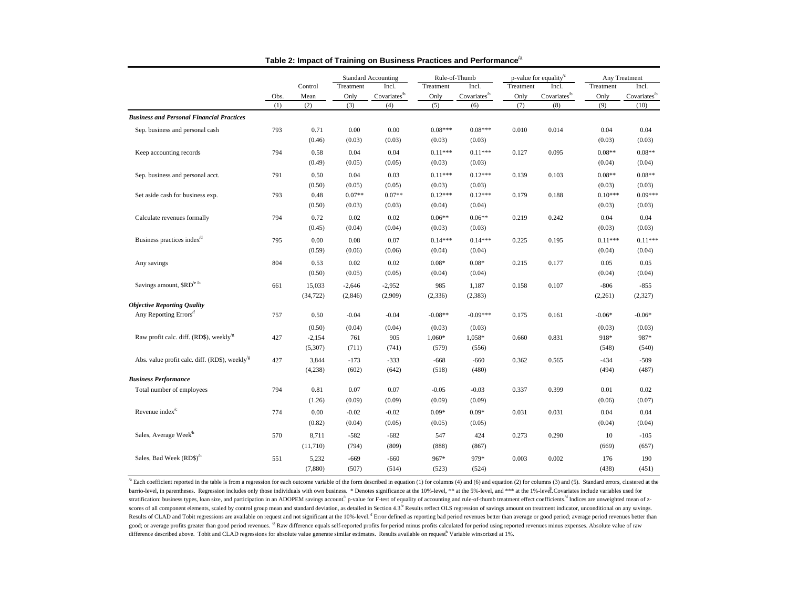|                                                                                  |      |           | <b>Standard Accounting</b> |                         | Rule-of-Thumb |                         | p-value for equality <sup>c</sup> |                          | Any Treatment |                          |
|----------------------------------------------------------------------------------|------|-----------|----------------------------|-------------------------|---------------|-------------------------|-----------------------------------|--------------------------|---------------|--------------------------|
|                                                                                  |      | Control   | Treatment                  | Incl.                   | Treatment     | Incl.                   | Treatment                         | Incl.                    | Treatment     | Incl.                    |
|                                                                                  | Obs. | Mean      | Only                       | Covariates <sup>b</sup> | Only          | Covariates <sup>b</sup> | Only                              | Covariates <sup>/b</sup> | Only          | Covariates <sup>/b</sup> |
|                                                                                  | (1)  | (2)       | (3)                        | (4)                     | (5)           | (6)                     | (7)                               | (8)                      | (9)           | (10)                     |
| <b>Business and Personal Financial Practices</b>                                 |      |           |                            |                         |               |                         |                                   |                          |               |                          |
| Sep. business and personal cash                                                  | 793  | 0.71      | 0.00                       | 0.00                    | $0.08***$     | $0.08***$               | 0.010                             | 0.014                    | 0.04          | 0.04                     |
|                                                                                  |      | (0.46)    | (0.03)                     | (0.03)                  | (0.03)        | (0.03)                  |                                   |                          | (0.03)        | (0.03)                   |
| Keep accounting records                                                          | 794  | 0.58      | 0.04                       | 0.04                    | $0.11***$     | $0.11***$               | 0.127                             | 0.095                    | $0.08**$      | $0.08**$                 |
|                                                                                  |      | (0.49)    | (0.05)                     | (0.05)                  | (0.03)        | (0.03)                  |                                   |                          | (0.04)        | (0.04)                   |
| Sep. business and personal acct.                                                 | 791  | 0.50      | 0.04                       | 0.03                    | $0.11***$     | $0.12***$               | 0.139                             | 0.103                    | $0.08**$      | $0.08**$                 |
|                                                                                  |      | (0.50)    | (0.05)                     | (0.05)                  | (0.03)        | (0.03)                  |                                   |                          | (0.03)        | (0.03)                   |
| Set aside cash for business exp.                                                 | 793  | 0.48      | $0.07**$                   | $0.07**$                | $0.12***$     | $0.12***$               | 0.179                             | 0.188                    | $0.10***$     | $0.09***$                |
|                                                                                  |      | (0.50)    | (0.03)                     | (0.03)                  | (0.04)        | (0.04)                  |                                   |                          | (0.03)        | (0.03)                   |
| Calculate revenues formally                                                      | 794  | 0.72      | 0.02                       | 0.02                    | $0.06**$      | $0.06**$                | 0.219                             | 0.242                    | 0.04          | 0.04                     |
|                                                                                  |      | (0.45)    | (0.04)                     | (0.04)                  | (0.03)        | (0.03)                  |                                   |                          | (0.03)        | (0.03)                   |
| Business practices index <sup>d</sup>                                            | 795  | 0.00      | 0.08                       | 0.07                    | $0.14***$     | $0.14***$               | 0.225                             | 0.195                    | $0.11***$     | $0.11***$                |
|                                                                                  |      | (0.59)    | (0.06)                     | (0.06)                  | (0.04)        | (0.04)                  |                                   |                          | (0.04)        | (0.04)                   |
| Any savings                                                                      | 804  | 0.53      | 0.02                       | 0.02                    | $0.08*$       | $0.08*$                 | 0.215                             | 0.177                    | 0.05          | 0.05                     |
|                                                                                  |      | (0.50)    | (0.05)                     | (0.05)                  | (0.04)        | (0.04)                  |                                   |                          | (0.04)        | (0.04)                   |
| Savings amount, \$RD <sup>/e/h</sup>                                             | 661  | 15,033    | $-2,646$                   | $-2,952$                | 985           | 1,187                   | 0.158                             | 0.107                    | $-806$        | $-855$                   |
|                                                                                  |      | (34, 722) | (2, 846)                   | (2,909)                 | (2, 336)      | (2, 383)                |                                   |                          | (2,261)       | (2,327)                  |
| <b>Objective Reporting Quality</b>                                               |      |           |                            |                         |               |                         |                                   |                          |               |                          |
| Any Reporting Errors <sup>t</sup>                                                | 757  | 0.50      | $-0.04$                    | $-0.04$                 | $-0.08**$     | $-0.09***$              | 0.175                             | 0.161                    | $-0.06*$      | $-0.06*$                 |
|                                                                                  |      | (0.50)    | (0.04)                     | (0.04)                  | (0.03)        | (0.03)                  |                                   |                          | (0.03)        | (0.03)                   |
| Raw profit calc. diff. (RD\$), weekly <sup><math>\frac{8}{3}</math></sup>        | 427  | $-2,154$  | 761                        | 905                     | 1,060*        | 1,058*                  | 0.660                             | 0.831                    | 918*          | 987*                     |
|                                                                                  |      | (5,307)   | (711)                      | (741)                   | (579)         | (556)                   |                                   |                          | (548)         | (540)                    |
| Abs. value profit calc. diff. (RD\$), weekly <sup><math>\frac{8}{3}</math></sup> | 427  | 3,844     | $-173$                     | $-333$                  | $-668$        | $-660$                  | 0.362                             | 0.565                    | $-434$        | $-509$                   |
|                                                                                  |      | (4,238)   | (602)                      | (642)                   | (518)         | (480)                   |                                   |                          | (494)         | (487)                    |
| <b>Business Performance</b>                                                      |      |           |                            |                         |               |                         |                                   |                          |               |                          |
| Total number of employees                                                        | 794  | 0.81      | 0.07                       | 0.07                    | $-0.05$       | $-0.03$                 | 0.337                             | 0.399                    | 0.01          | 0.02                     |
|                                                                                  |      | (1.26)    | (0.09)                     | (0.09)                  | (0.09)        | (0.09)                  |                                   |                          | (0.06)        | (0.07)                   |
| Revenue index $\sqrt{c}$                                                         | 774  | 0.00      | $-0.02$                    | $-0.02$                 | $0.09*$       | $0.09*$                 | 0.031                             | 0.031                    | 0.04          | 0.04                     |
|                                                                                  |      | (0.82)    | (0.04)                     | (0.05)                  | (0.05)        | (0.05)                  |                                   |                          | (0.04)        | (0.04)                   |
| Sales, Average Week <sup>h</sup>                                                 | 570  | 8,711     | $-582$                     | $-682$                  | 547           | 424                     | 0.273                             | 0.290                    | 10            | $-105$                   |
|                                                                                  |      | (11,710)  | (794)                      | (809)                   | (888)         | (867)                   |                                   |                          | (669)         | (657)                    |
| Sales, Bad Week (RD\$) <sup>h</sup>                                              | 551  | 5,232     | $-669$                     | $-660$                  | 967*          | 979*                    | 0.003                             | 0.002                    | 176           | 190                      |
|                                                                                  |      | (7,880)   | (507)                      | (514)                   | (523)         | (524)                   |                                   |                          | (438)         | (451)                    |

<sup>/a</sup> Each coefficient reported in the table is from a regression for each outcome variable of the form described in equation (1) for columns (4) and (6) and equation (2) for columns (3) and (5). Standard errors, clustered barrio-level, in parentheses. Regression includes only those individuals with own business. \* Denotes significance at the 10%-level, \*\* at the 5%-level, and \*\*\* at the 1%-level. Covariates include variables used for stratification: business types, loan size, and participation in an ADOPEM savings account. P-value for F-test of equality of accounting and rule-of-thumb treatment effect coefficients.<sup>(d</sup> Indices are unweighted mean of zscores of all component elements, scaled by control group mean and standard deviation, as detailed in Section 4.3. Results reflect OLS regression of savings amount on treatment indicator, unconditional on any savings. Results of CLAD and Tobit regressions are available on request and not significant at the 10%-level.<sup>*ff*</sup> Error defined as reporting bad period revenues better than average or good period; average period revenues better t good; or average profits greater than good period revenues. <sup>/g</sup> Raw difference equals self-reported profits for period minus profits calculated for period using reported revenues minus expenses. Absolute value of raw difference described above. Tobit and CLAD regressions for absolute value generate similar estimates. Results available on request. Variable winsorized at 1%.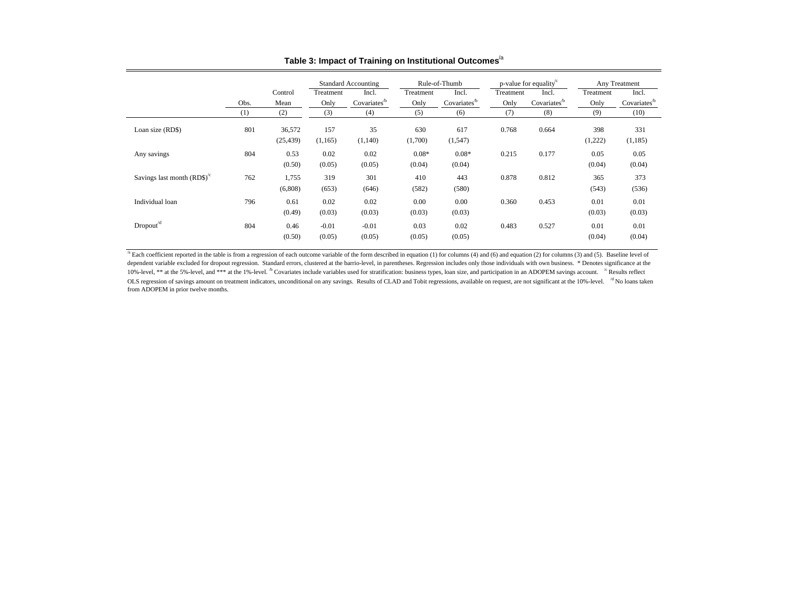|                                                                |      |                     |                   | <b>Standard Accounting</b> | Rule-of-Thumb     |                         |           | p-value for equality <sup>c</sup> | Any Treatment  |                         |
|----------------------------------------------------------------|------|---------------------|-------------------|----------------------------|-------------------|-------------------------|-----------|-----------------------------------|----------------|-------------------------|
|                                                                |      | Control             | Treatment         | Incl.                      | Treatment         | Incl.                   | Treatment | Incl.                             | Treatment      | Incl.                   |
|                                                                | Obs. | Mean                | Only              | Covariates <sup>b</sup>    | Only              | Covariates <sup>b</sup> | Only      | Covariates <sup>b</sup>           | Only           | Covariates <sup>b</sup> |
|                                                                | (1)  | (2)                 | (3)               | (4)                        | (5)               | (6)                     | (7)       | (8)                               | (9)            | (10)                    |
| Loan size (RD\$)                                               | 801  | 36,572<br>(25, 439) | 157<br>(1,165)    | 35<br>(1,140)              | 630<br>(1,700)    | 617<br>(1, 547)         | 0.768     | 0.664                             | 398<br>(1,222) | 331<br>(1,185)          |
| Any savings                                                    | 804  | 0.53<br>(0.50)      | 0.02<br>(0.05)    | 0.02<br>(0.05)             | $0.08*$<br>(0.04) | $0.08*$<br>(0.04)       | 0.215     | 0.177                             | 0.05<br>(0.04) | 0.05<br>(0.04)          |
| Savings last month $(RDS)$ <sup><math>\textdegree</math></sup> | 762  | 1,755<br>(6,808)    | 319<br>(653)      | 301<br>(646)               | 410<br>(582)      | 443<br>(580)            | 0.878     | 0.812                             | 365<br>(543)   | 373<br>(536)            |
| Individual loan                                                | 796  | 0.61<br>(0.49)      | 0.02<br>(0.03)    | 0.02<br>(0.03)             | 0.00<br>(0.03)    | 0.00<br>(0.03)          | 0.360     | 0.453                             | 0.01<br>(0.03) | 0.01<br>(0.03)          |
| Dropout <sup>d</sup>                                           | 804  | 0.46<br>(0.50)      | $-0.01$<br>(0.05) | $-0.01$<br>(0.05)          | 0.03<br>(0.05)    | 0.02<br>(0.05)          | 0.483     | 0.527                             | 0.01<br>(0.04) | 0.01<br>(0.04)          |

**Table 3: Impact of Training on Institutional Outcomes**/a

 $\frac{1}{4}$  Each coefficient reported in the table is from a regression of each outcome variable of the form described in equation (1) for columns (4) and (6) and equation (2) for columns (3) and (5). Baseline level of dependent variable excluded for dropout regression. Standard errors, clustered at the barrio-level, in parentheses. Regression includes only those individuals with own business. \* Denotes significance at the 10%-level, \*\* at the 5%-level, and \*\*\* at the 1%-level. <sup>h</sup> Covariates include variables used for stratification: business types, loan size, and participation in an ADOPEM savings account. <sup>k</sup> Results reflect OLS regression of savings amount on treatment indicators, unconditional on any savings. Results of CLAD and Tobit regressions, available on request, are not significant at the 10%-level. <sup>/d</sup> No loans taken from ADOPEM in prior twelve months.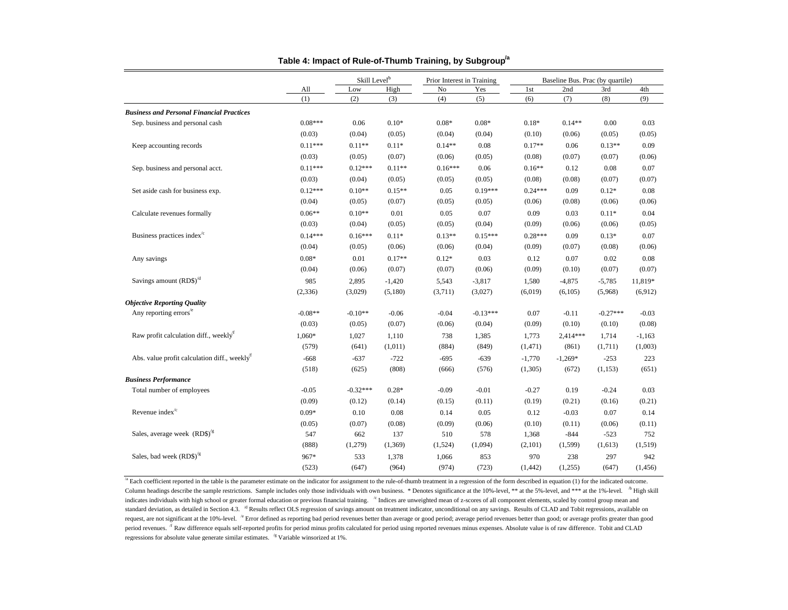|                                                          |           | Skill Level <sup>b</sup> |          | Prior Interest in Training |            |           | Baseline Bus. Prac (by quartile) |            |          |
|----------------------------------------------------------|-----------|--------------------------|----------|----------------------------|------------|-----------|----------------------------------|------------|----------|
|                                                          | All       | Low                      | High     | No                         | Yes        | 1st       | 2nd                              | 3rd        | 4th      |
|                                                          | (1)       | (2)                      | (3)      | (4)                        | (5)        | (6)       | (7)                              | (8)        | (9)      |
| <b>Business and Personal Financial Practices</b>         |           |                          |          |                            |            |           |                                  |            |          |
| Sep. business and personal cash                          | $0.08***$ | 0.06                     | $0.10*$  | $0.08*$                    | $0.08*$    | $0.18*$   | $0.14**$                         | 0.00       | 0.03     |
|                                                          | (0.03)    | (0.04)                   | (0.05)   | (0.04)                     | (0.04)     | (0.10)    | (0.06)                           | (0.05)     | (0.05)   |
| Keep accounting records                                  | $0.11***$ | $0.11**$                 | $0.11*$  | $0.14**$                   | 0.08       | $0.17**$  | 0.06                             | $0.13**$   | 0.09     |
|                                                          | (0.03)    | (0.05)                   | (0.07)   | (0.06)                     | (0.05)     | (0.08)    | (0.07)                           | (0.07)     | (0.06)   |
| Sep. business and personal acct.                         | $0.11***$ | $0.12***$                | $0.11**$ | $0.16***$                  | 0.06       | $0.16**$  | 0.12                             | 0.08       | 0.07     |
|                                                          | (0.03)    | (0.04)                   | (0.05)   | (0.05)                     | (0.05)     | (0.08)    | (0.08)                           | (0.07)     | (0.07)   |
| Set aside cash for business exp.                         | $0.12***$ | $0.10**$                 | $0.15**$ | 0.05                       | $0.19***$  | $0.24***$ | 0.09                             | $0.12*$    | 0.08     |
|                                                          | (0.04)    | (0.05)                   | (0.07)   | (0.05)                     | (0.05)     | (0.06)    | (0.08)                           | (0.06)     | (0.06)   |
| Calculate revenues formally                              | $0.06**$  | $0.10**$                 | 0.01     | 0.05                       | 0.07       | 0.09      | 0.03                             | $0.11*$    | 0.04     |
|                                                          | (0.03)    | (0.04)                   | (0.05)   | (0.05)                     | (0.04)     | (0.09)    | (0.06)                           | (0.06)     | (0.05)   |
| Business practices index <sup>/c</sup>                   | $0.14***$ | $0.16***$                | $0.11*$  | $0.13**$                   | $0.15***$  | $0.28***$ | 0.09                             | $0.13*$    | 0.07     |
|                                                          | (0.04)    | (0.05)                   | (0.06)   | (0.06)                     | (0.04)     | (0.09)    | (0.07)                           | (0.08)     | (0.06)   |
| Any savings                                              | $0.08*$   | 0.01                     | $0.17**$ | $0.12*$                    | 0.03       | 0.12      | 0.07                             | 0.02       | 0.08     |
|                                                          | (0.04)    | (0.06)                   | (0.07)   | (0.07)                     | (0.06)     | (0.09)    | (0.10)                           | (0.07)     | (0.07)   |
| Savings amount $(RD$)^d$                                 | 985       | 2,895                    | $-1,420$ | 5,543                      | $-3,817$   | 1,580     | $-4,875$                         | $-5,785$   | 11,819*  |
|                                                          | (2, 336)  | (3,029)                  | (5,180)  | (3,711)                    | (3,027)    | (6,019)   | (6,105)                          | (5,968)    | (6,912)  |
| <b>Objective Reporting Quality</b>                       |           |                          |          |                            |            |           |                                  |            |          |
| Any reporting errors <sup>/e</sup>                       | $-0.08**$ | $-0.10**$                | $-0.06$  | $-0.04$                    | $-0.13***$ | 0.07      | $-0.11$                          | $-0.27***$ | $-0.03$  |
|                                                          | (0.03)    | (0.05)                   | (0.07)   | (0.06)                     | (0.04)     | (0.09)    | (0.10)                           | (0.10)     | (0.08)   |
| Raw profit calculation diff., weekly <sup>f</sup>        | 1,060*    | 1,027                    | 1,110    | 738                        | 1,385      | 1,773     | 2,414***                         | 1,714      | $-1,163$ |
|                                                          | (579)     | (641)                    | (1,011)  | (884)                      | (849)      | (1, 471)  | (861)                            | (1,711)    | (1,003)  |
| Abs. value profit calculation diff., weekly <sup>f</sup> | $-668$    | $-637$                   | $-722$   | $-695$                     | $-639$     | $-1,770$  | $-1,269*$                        | $-253$     | 223      |
|                                                          | (518)     | (625)                    | (808)    | (666)                      | (576)      | (1,305)   | (672)                            | (1, 153)   | (651)    |
| <b>Business Performance</b>                              |           |                          |          |                            |            |           |                                  |            |          |
| Total number of employees                                | $-0.05$   | $-0.32***$               | $0.28*$  | $-0.09$                    | $-0.01$    | $-0.27$   | 0.19                             | $-0.24$    | 0.03     |
|                                                          | (0.09)    | (0.12)                   | (0.14)   | (0.15)                     | (0.11)     | (0.19)    | (0.21)                           | (0.16)     | (0.21)   |
| Revenue index $\alpha$                                   | $0.09*$   | 0.10                     | 0.08     | 0.14                       | 0.05       | 0.12      | $-0.03$                          | 0.07       | 0.14     |
|                                                          | (0.05)    | (0.07)                   | (0.08)   | (0.09)                     | (0.06)     | (0.10)    | (0.11)                           | (0.06)     | (0.11)   |
| Sales, average week $(RDS)^{g}$                          | 547       | 662                      | 137      | 510                        | 578        | 1,368     | $-844$                           | $-523$     | 752      |
|                                                          | (888)     | (1,279)                  | (1,369)  | (1,524)                    | (1,094)    | (2,101)   | (1,599)                          | (1,613)    | (1,519)  |
| Sales, bad week $(RDS)^{g}$                              | 967*      | 533                      | 1,378    | 1,066                      | 853        | 970       | 238                              | 297        | 942      |
|                                                          | (523)     | (647)                    | (964)    | (974)                      | (723)      | (1, 442)  | (1,255)                          | (647)      | (1,456)  |

**Table 4: Impact of Rule-of-Thumb Training, by Subgroup/a** 

<sup>/a</sup> Each coefficient reported in the table is the parameter estimate on the indicator for assignment to the rule-of-thumb treatment in a regression of the form described in equation (1) for the indicated outcome. Column headings describe the sample restrictions. Sample includes only those individuals with own business. \* Denotes significance at the 10%-level, \*\* at the 5%-level, and \*\*\* at the 1%-level.  $^{h}$  High skill indicates individuals with high school or greater formal education or previous financial training. <sup>to</sup> Indices are unweighted mean of z-scores of all component elements, scaled by control group mean and standard deviation, as detailed in Section 4.3. <sup>1d</sup> Results reflect OLS regression of savings amount on treatment indicator, unconditional on any savings. Results of CLAD and Tobit regressions, available on request, are not significant at the 10%-level. <sup>k</sup> Error defined as reporting bad period revenues better than average or good period; average period revenues better than good; or average profits greater than good period revenues. <sup>*f*</sup> Raw difference equals self-reported profits for period minus profits calculated for period using reported revenues minus expenses. Absolute value is of raw difference. Tobit and CLAD regressions for absolute value generate similar estimates. <sup>/g</sup> Variable winsorized at 1%.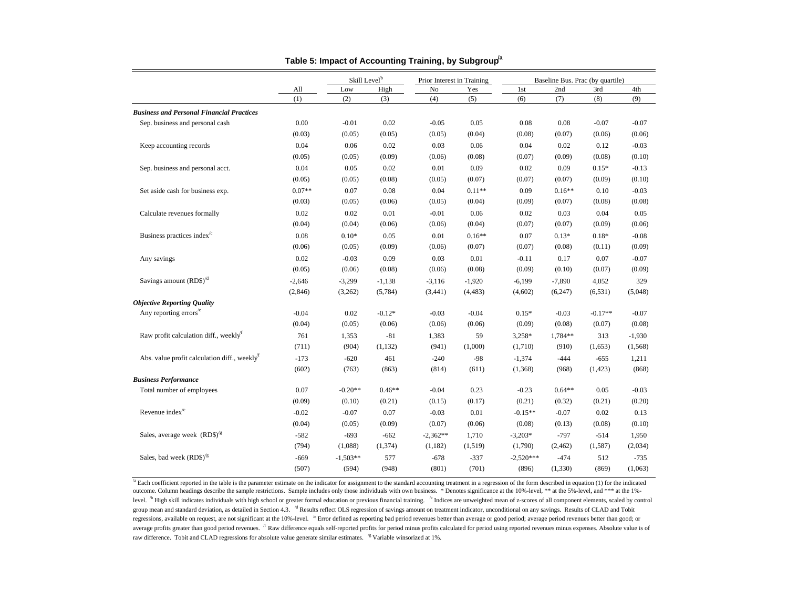|                                                          |          | Skill Level <sup>b</sup> |          | Prior Interest in Training |          | Baseline Bus. Prac (by quartile) |          |           |          |
|----------------------------------------------------------|----------|--------------------------|----------|----------------------------|----------|----------------------------------|----------|-----------|----------|
|                                                          | All      | Low                      | High     | No                         | Yes      | 1st                              | 2nd      | 3rd       | 4th      |
|                                                          | (1)      | (2)                      | (3)      | (4)                        | (5)      | (6)                              | (7)      | (8)       | (9)      |
| <b>Business and Personal Financial Practices</b>         |          |                          |          |                            |          |                                  |          |           |          |
| Sep. business and personal cash                          | 0.00     | $-0.01$                  | 0.02     | $-0.05$                    | 0.05     | 0.08                             | 0.08     | $-0.07$   | $-0.07$  |
|                                                          | (0.03)   | (0.05)                   | (0.05)   | (0.05)                     | (0.04)   | (0.08)                           | (0.07)   | (0.06)    | (0.06)   |
| Keep accounting records                                  | 0.04     | 0.06                     | 0.02     | 0.03                       | 0.06     | 0.04                             | 0.02     | 0.12      | $-0.03$  |
|                                                          | (0.05)   | (0.05)                   | (0.09)   | (0.06)                     | (0.08)   | (0.07)                           | (0.09)   | (0.08)    | (0.10)   |
| Sep. business and personal acct.                         | 0.04     | 0.05                     | 0.02     | 0.01                       | 0.09     | 0.02                             | 0.09     | $0.15*$   | $-0.13$  |
|                                                          | (0.05)   | (0.05)                   | (0.08)   | (0.05)                     | (0.07)   | (0.07)                           | (0.07)   | (0.09)    | (0.10)   |
| Set aside cash for business exp.                         | $0.07**$ | 0.07                     | 0.08     | 0.04                       | $0.11**$ | 0.09                             | $0.16**$ | 0.10      | $-0.03$  |
|                                                          | (0.03)   | (0.05)                   | (0.06)   | (0.05)                     | (0.04)   | (0.09)                           | (0.07)   | (0.08)    | (0.08)   |
| Calculate revenues formally                              | 0.02     | 0.02                     | 0.01     | $-0.01$                    | 0.06     | 0.02                             | 0.03     | 0.04      | 0.05     |
|                                                          | (0.04)   | (0.04)                   | (0.06)   | (0.06)                     | (0.04)   | (0.07)                           | (0.07)   | (0.09)    | (0.06)   |
| Business practices index $\sqrt{c}$                      | 0.08     | $0.10*$                  | 0.05     | 0.01                       | $0.16**$ | 0.07                             | $0.13*$  | $0.18*$   | $-0.08$  |
|                                                          | (0.06)   | (0.05)                   | (0.09)   | (0.06)                     | (0.07)   | (0.07)                           | (0.08)   | (0.11)    | (0.09)   |
| Any savings                                              | 0.02     | $-0.03$                  | 0.09     | 0.03                       | 0.01     | $-0.11$                          | 0.17     | 0.07      | $-0.07$  |
|                                                          | (0.05)   | (0.06)                   | (0.08)   | (0.06)                     | (0.08)   | (0.09)                           | (0.10)   | (0.07)    | (0.09)   |
| Savings amount $(RDS)^{d}$                               | $-2,646$ | $-3,299$                 | $-1,138$ | $-3,116$                   | $-1,920$ | $-6,199$                         | $-7,890$ | 4,052     | 329      |
|                                                          | (2,846)  | (3,262)                  | (5,784)  | (3,441)                    | (4, 483) | (4,602)                          | (6,247)  | (6, 531)  | (5,048)  |
| <b>Objective Reporting Quality</b>                       |          |                          |          |                            |          |                                  |          |           |          |
| Any reporting errors <sup>/e</sup>                       | $-0.04$  | 0.02                     | $-0.12*$ | $-0.03$                    | $-0.04$  | $0.15*$                          | $-0.03$  | $-0.17**$ | $-0.07$  |
|                                                          | (0.04)   | (0.05)                   | (0.06)   | (0.06)                     | (0.06)   | (0.09)                           | (0.08)   | (0.07)    | (0.08)   |
| Raw profit calculation diff., weekly <sup>f</sup>        | 761      | 1,353                    | $-81$    | 1,383                      | 59       | 3,258*                           | 1,784**  | 313       | $-1,930$ |
|                                                          | (711)    | (904)                    | (1, 132) | (941)                      | (1,000)  | (1,710)                          | (910)    | (1,653)   | (1, 568) |
| Abs. value profit calculation diff., weekly <sup>f</sup> | $-173$   | $-620$                   | 461      | $-240$                     | $-98$    | $-1,374$                         | $-444$   | $-655$    | 1,211    |
|                                                          | (602)    | (763)                    | (863)    | (814)                      | (611)    | (1,368)                          | (968)    | (1, 423)  | (868)    |
| <b>Business Performance</b>                              |          |                          |          |                            |          |                                  |          |           |          |
| Total number of employees                                | 0.07     | $-0.20**$                | $0.46**$ | $-0.04$                    | 0.23     | $-0.23$                          | $0.64**$ | 0.05      | $-0.03$  |
|                                                          | (0.09)   | (0.10)                   | (0.21)   | (0.15)                     | (0.17)   | (0.21)                           | (0.32)   | (0.21)    | (0.20)   |
| Revenue index <sup>/c</sup>                              | $-0.02$  | $-0.07$                  | 0.07     | $-0.03$                    | 0.01     | $-0.15**$                        | $-0.07$  | 0.02      | 0.13     |
|                                                          | (0.04)   | (0.05)                   | (0.09)   | (0.07)                     | (0.06)   | (0.08)                           | (0.13)   | (0.08)    | (0.10)   |
| Sales, average week $(RDS)^{g}$                          | $-582$   | $-693$                   | $-662$   | $-2,362**$                 | 1,710    | $-3,203*$                        | $-797$   | $-514$    | 1,950    |
|                                                          | (794)    | (1,088)                  | (1,374)  | (1,182)                    | (1,519)  | (1,790)                          | (2, 462) | (1,587)   | (2,034)  |
| Sales, bad week (RD\$) <sup>/g</sup>                     | $-669$   | $-1,503**$               | 577      | $-678$                     | $-337$   | $-2,520***$                      | $-474$   | 512       | $-735$   |
|                                                          | (507)    | (594)                    | (948)    | (801)                      | (701)    | (896)                            | (1,330)  | (869)     | (1,063)  |

|  |  |  | Table 5: Impact of Accounting Training, by Subgroup <sup>/a</sup> |
|--|--|--|-------------------------------------------------------------------|
|  |  |  |                                                                   |

<sup>7a</sup> Each coefficient reported in the table is the parameter estimate on the indicator for assignment to the standard accounting treatment in a regression of the form described in equation (1) for the indicated outcome. Column headings describe the sample restrictions. Sample includes only those individuals with own business. \* Denotes significance at the 10%-level, \*\* at the 5%-level, and \*\*\* at the 1% level. <sup>h</sup> High skill indicates individuals with high school or greater formal education or previous financial training. <sup>h</sup> Indices are unweighted mean of z-scores of all component elements, scaled by control group mean and standard deviation, as detailed in Section 4.3. <sup>da</sup> Results reflect OLS regression of savings amount on treatment indicator, unconditional on any savings. Results of CLAD and Tobit regressions, available on request, are not significant at the 10%-level. <sup>k</sup> Error defined as reporting bad period revenues better than average or good period; average period revenues better than good; or average profits greater than good period revenues. <sup>*ff*</sup> Raw difference equals self-reported profits for period minus profits calculated for period using reported revenues minus expenses. Absolute value is of raw difference. Tobit and CLAD regressions for absolute value generate similar estimates. <sup>/g</sup> Variable winsorized at 1%.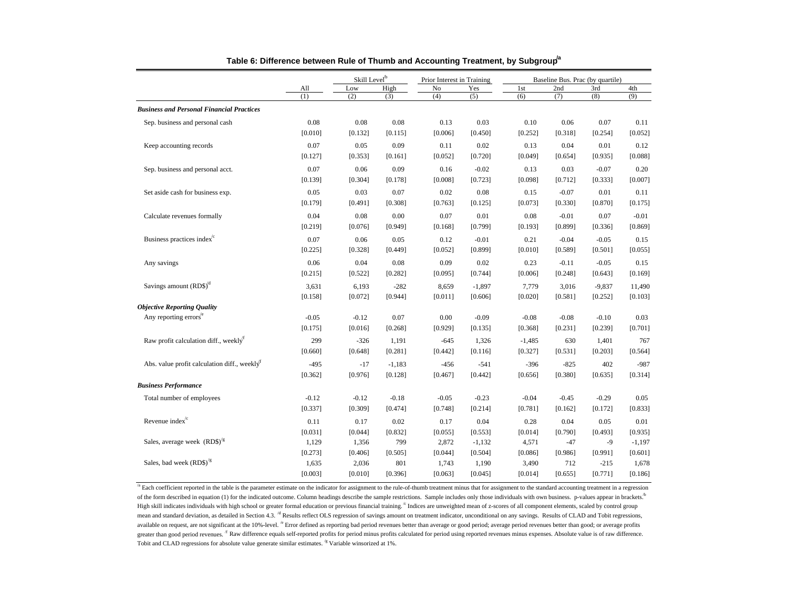|                                                          |         |         | Skill Level <sup>b</sup> |         | Prior Interest in Training |                 | Baseline Bus. Prac (by quartile) |          |          |
|----------------------------------------------------------|---------|---------|--------------------------|---------|----------------------------|-----------------|----------------------------------|----------|----------|
|                                                          | All     | Low     | High                     | No      | Yes                        | 1 <sub>st</sub> | 2nd                              | 3rd      | 4th      |
|                                                          | (1)     | (2)     | (3)                      | (4)     | (5)                        | (6)             | (7)                              | (8)      | (9)      |
| <b>Business and Personal Financial Practices</b>         |         |         |                          |         |                            |                 |                                  |          |          |
| Sep. business and personal cash                          | 0.08    | 0.08    | 0.08                     | 0.13    | 0.03                       | 0.10            | 0.06                             | 0.07     | 0.11     |
|                                                          | [0.010] | [0.132] | [0.115]                  | [0.006] | [0.450]                    | [0.252]         | [0.318]                          | [0.254]  | [0.052]  |
| Keep accounting records                                  | 0.07    | 0.05    | 0.09                     | 0.11    | 0.02                       | 0.13            | 0.04                             | 0.01     | 0.12     |
|                                                          | [0.127] | [0.353] | [0.161]                  | [0.052] | [0.720]                    | [0.049]         | [0.654]                          | [0.935]  | [0.088]  |
| Sep. business and personal acct.                         | 0.07    | 0.06    | 0.09                     | 0.16    | $-0.02$                    | 0.13            | 0.03                             | $-0.07$  | 0.20     |
|                                                          | [0.139] | [0.304] | [0.178]                  | [0.008] | [0.723]                    | [0.098]         | [0.712]                          | [0.333]  | [0.007]  |
| Set aside cash for business exp.                         | 0.05    | 0.03    | 0.07                     | 0.02    | 0.08                       | 0.15            | $-0.07$                          | 0.01     | 0.11     |
|                                                          | [0.179] | [0.491] | [0.308]                  | [0.763] | [0.125]                    | [0.073]         | [0.330]                          | [0.870]  | [0.175]  |
| Calculate revenues formally                              | 0.04    | 0.08    | 0.00                     | 0.07    | 0.01                       | 0.08            | $-0.01$                          | 0.07     | $-0.01$  |
|                                                          | [0.219] | [0.076] | [0.949]                  | [0.168] | [0.799]                    | [0.193]         | [0.899]                          | [0.336]  | [0.869]  |
| Business practices index $\sqrt{c}$                      | 0.07    | 0.06    | 0.05                     | 0.12    | $-0.01$                    | 0.21            | $-0.04$                          | $-0.05$  | 0.15     |
|                                                          | [0.225] | [0.328] | [0.449]                  | [0.052] | [0.899]                    | [0.010]         | [0.589]                          | [0.501]  | [0.055]  |
| Any savings                                              | 0.06    | 0.04    | 0.08                     | 0.09    | 0.02                       | 0.23            | $-0.11$                          | $-0.05$  | 0.15     |
|                                                          | [0.215] | [0.522] | [0.282]                  | [0.095] | [0.744]                    | [0.006]         | [0.248]                          | [0.643]  | [0.169]  |
| Savings amount (RD\$) <sup>d</sup>                       | 3,631   | 6,193   | $-282$                   | 8,659   | $-1,897$                   | 7,779           | 3,016                            | $-9,837$ | 11,490   |
|                                                          | [0.158] | [0.072] | [0.944]                  | [0.011] | [0.606]                    | [0.020]         | [0.581]                          | [0.252]  | [0.103]  |
| <b>Objective Reporting Quality</b>                       |         |         |                          |         |                            |                 |                                  |          |          |
| Any reporting errors <sup>'e</sup>                       | $-0.05$ | $-0.12$ | 0.07                     | 0.00    | $-0.09$                    | $-0.08$         | $-0.08$                          | $-0.10$  | 0.03     |
|                                                          | [0.175] | [0.016] | [0.268]                  | [0.929] | [0.135]                    | [0.368]         | [0.231]                          | [0.239]  | [0.701]  |
| Raw profit calculation diff., weekly <sup>f</sup>        | 299     | $-326$  | 1,191                    | $-645$  | 1,326                      | $-1,485$        | 630                              | 1,401    | 767      |
|                                                          | [0.660] | [0.648] | [0.281]                  | [0.442] | [0.116]                    | [0.327]         | [0.531]                          | [0.203]  | [0.564]  |
| Abs. value profit calculation diff., weekly <sup>f</sup> | $-495$  | $-17$   | $-1,183$                 | $-456$  | $-541$                     | $-396$          | $-825$                           | 402      | $-987$   |
|                                                          | [0.362] | [0.976] | [0.128]                  | [0.467] | [0.442]                    | [0.656]         | [0.380]                          | [0.635]  | [0.314]  |
| <b>Business Performance</b>                              |         |         |                          |         |                            |                 |                                  |          |          |
| Total number of employees                                | $-0.12$ | $-0.12$ | $-0.18$                  | $-0.05$ | $-0.23$                    | $-0.04$         | $-0.45$                          | $-0.29$  | 0.05     |
|                                                          | [0.337] | [0.309] | [0.474]                  | [0.748] | [0.214]                    | [0.781]         | [0.162]                          | [0.172]  | [0.833]  |
| Revenue index $\mathrm{c}^{\mathrm{c}}$                  | 0.11    | 0.17    | 0.02                     | 0.17    | 0.04                       | 0.28            | 0.04                             | 0.05     | 0.01     |
|                                                          | [0.031] | [0.044] | [0.832]                  | [0.055] | [0.553]                    | [0.014]         | [0.790]                          | [0.493]  | [0.935]  |
| Sales, average week $(RDS)^{g}$                          | 1,129   | 1,356   | 799                      | 2,872   | $-1,132$                   | 4,571           | $-47$                            | $-9$     | $-1,197$ |
|                                                          | [0.273] | [0.406] | [0.505]                  | [0.044] | [0.504]                    | [0.086]         | [0.986]                          | [0.991]  | [0.601]  |
| Sales, bad week $(RDS)^{g}$                              | 1,635   | 2,036   | 801                      | 1,743   | 1,190                      | 3,490           | 712                              | $-215$   | 1,678    |
|                                                          | [0.003] | [0.010] | [0.396]                  | [0.063] | [0.045]                    | [0.014]         | [0.655]                          | [0.771]  | [0.186]  |

|  |  | Table 6: Difference between Rule of Thumb and Accounting Treatment, by Subgroup <sup>a</sup> |  |
|--|--|----------------------------------------------------------------------------------------------|--|
|--|--|----------------------------------------------------------------------------------------------|--|

<sup>/a</sup> Each coefficient reported in the table is the parameter estimate on the indicator for assignment to the rule-of-thumb treatment minus that for assignment to the standard accounting treatment in a regression of the form described in equation (1) for the indicated outcome. Column headings describe the sample restrictions. Sample includes only those individuals with own business. p-values appear in brackets.<sup>/b</sup> High skill indicates individuals with high school or greater formal education or previous financial training.<sup>1c</sup> Indices are unweighted mean of z-scores of all component elements, scaled by control group mean and standard deviation, as detailed in Section 4.3. <sup>1d</sup> Results reflect OLS regression of savings amount on treatment indicator, unconditional on any savings. Results of CLAD and Tobit regressions, available on request, are not significant at the 10%-level. <sup>k</sup> Error defined as reporting bad period revenues better than average or good period; average period revenues better than good; or average profits greater than good period revenues. <sup>*f*</sup> Raw difference equals self-reported profits for period minus profits calculated for period using reported revenues minus expenses. Absolute value is of raw difference. Tobit and CLAD regressions for absolute value generate similar estimates. <sup>/g</sup> Variable winsorized at 1%.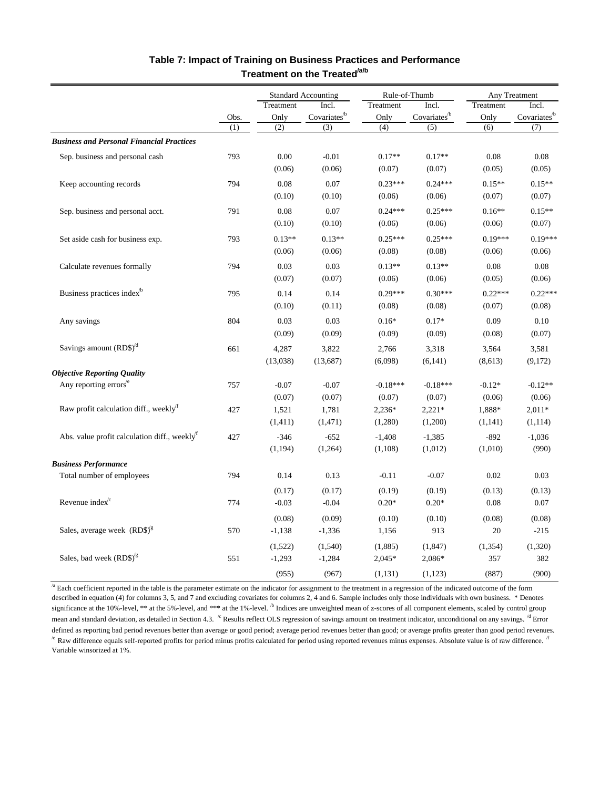|                                                          |      |           | <b>Standard Accounting</b> |            | Rule-of-Thumb            | Any Treatment |                          |  |
|----------------------------------------------------------|------|-----------|----------------------------|------------|--------------------------|---------------|--------------------------|--|
|                                                          |      | Treatment | Incl.                      | Treatment  | Incl.                    | Treatment     | Incl.                    |  |
|                                                          | Obs. | Only      | Covariates <sup>b</sup>    | Only       | Covariates <sup>/b</sup> | Only          | Covariates <sup>/b</sup> |  |
|                                                          | (1)  | (2)       | (3)                        | (4)        | (5)                      | (6)           | (7)                      |  |
| <b>Business and Personal Financial Practices</b>         |      |           |                            |            |                          |               |                          |  |
| Sep. business and personal cash                          | 793  | 0.00      | $-0.01$                    | $0.17**$   | $0.17**$                 | 0.08          | 0.08                     |  |
|                                                          |      | (0.06)    | (0.06)                     | (0.07)     | (0.07)                   | (0.05)        | (0.05)                   |  |
| Keep accounting records                                  | 794  | 0.08      | 0.07                       | $0.23***$  | $0.24***$                | $0.15**$      | $0.15**$                 |  |
|                                                          |      | (0.10)    | (0.10)                     | (0.06)     | (0.06)                   | (0.07)        | (0.07)                   |  |
| Sep. business and personal acct.                         | 791  | 0.08      | 0.07                       | $0.24***$  | $0.25***$                | $0.16**$      | $0.15**$                 |  |
|                                                          |      | (0.10)    | (0.10)                     | (0.06)     | (0.06)                   | (0.06)        | (0.07)                   |  |
| Set aside cash for business exp.                         | 793  | $0.13**$  | $0.13**$                   | $0.25***$  | $0.25***$                | $0.19***$     | $0.19***$                |  |
|                                                          |      | (0.06)    | (0.06)                     | (0.08)     | (0.08)                   | (0.06)        | (0.06)                   |  |
| Calculate revenues formally                              | 794  | 0.03      | 0.03                       | $0.13**$   | $0.13**$                 | 0.08          | 0.08                     |  |
|                                                          |      | (0.07)    | (0.07)                     | (0.06)     | (0.06)                   | (0.05)        | (0.06)                   |  |
| Business practices index <sup>b</sup>                    | 795  | 0.14      | 0.14                       | $0.29***$  | $0.30***$                | $0.22***$     | $0.22***$                |  |
|                                                          |      | (0.10)    | (0.11)                     | (0.08)     | (0.08)                   | (0.07)        | (0.08)                   |  |
| Any savings                                              | 804  | 0.03      | 0.03                       | $0.16*$    | $0.17*$                  | 0.09          | 0.10                     |  |
|                                                          |      | (0.09)    | (0.09)                     | (0.09)     | (0.09)                   | (0.08)        | (0.07)                   |  |
| Savings amount $(RD$)^d$                                 | 661  | 4,287     | 3,822                      | 2,766      | 3,318                    | 3,564         | 3,581                    |  |
|                                                          |      | (13,038)  | (13,687)                   | (6,098)    | (6,141)                  | (8,613)       | (9,172)                  |  |
| <b>Objective Reporting Quality</b>                       |      |           |                            |            |                          |               |                          |  |
| Any reporting errors <sup>'e</sup>                       | 757  | $-0.07$   | $-0.07$                    | $-0.18***$ | $-0.18***$               | $-0.12*$      | $-0.12**$                |  |
|                                                          |      | (0.07)    | (0.07)                     | (0.07)     | (0.07)                   | (0.06)        | (0.06)                   |  |
| Raw profit calculation diff., weekly <sup>f</sup>        | 427  | 1,521     | 1,781                      | 2,236*     | $2,221*$                 | 1,888*        | $2,011*$                 |  |
|                                                          |      | (1, 411)  | (1, 471)                   | (1,280)    | (1,200)                  | (1,141)       | (1, 114)                 |  |
| Abs. value profit calculation diff., weekly <sup>f</sup> | 427  | $-346$    | $-652$                     | $-1,408$   | $-1,385$                 | $-892$        | $-1,036$                 |  |
|                                                          |      | (1, 194)  | (1,264)                    | (1,108)    | (1,012)                  | (1,010)       | (990)                    |  |
| <b>Business Performance</b>                              |      |           |                            |            |                          |               |                          |  |
| Total number of employees                                | 794  | 0.14      | 0.13                       | $-0.11$    | $-0.07$                  | 0.02          | 0.03                     |  |
|                                                          |      | (0.17)    | (0.17)                     | (0.19)     | (0.19)                   | (0.13)        | (0.13)                   |  |
| Revenue index <sup>/c</sup>                              | 774  | $-0.03$   | $-0.04$                    | $0.20*$    | $0.20*$                  | 0.08          | 0.07                     |  |
|                                                          |      | (0.08)    | (0.09)                     | (0.10)     | (0.10)                   | (0.08)        | (0.08)                   |  |
| Sales, average week $(RDS)^g$                            | 570  | $-1,138$  | $-1,336$                   | 1,156      | 913                      | 20            | $-215$                   |  |
|                                                          |      | (1,522)   | (1, 540)                   | (1,885)    | (1,847)                  | (1,354)       | (1,320)                  |  |
| Sales, bad week $(RD$)^g$                                | 551  | $-1,293$  | $-1,284$                   | 2,045*     | 2,086*                   | 357           | 382                      |  |
|                                                          |      | (955)     | (967)                      | (1,131)    | (1,123)                  | (887)         | (900)                    |  |

## **Table 7: Impact of Training on Business Practices and Performance Treatment on the Treated/a/b**

<sup>/a</sup> Each coefficient reported in the table is the parameter estimate on the indicator for assignment to the treatment in a regression of the indicated outcome of the form described in equation (4) for columns 3, 5, and 7 and excluding covariates for columns 2, 4 and 6. Sample includes only those individuals with own business. \* Denotes significance at the 10%-level, \*\* at the 5%-level, and \*\*\* at the 1%-level. <sup>h</sup> Indices are unweighted mean of z-scores of all component elements, scaled by control group mean and standard deviation, as detailed in Section 4.3. <sup>k</sup> Results reflect OLS regression of savings amount on treatment indicator, unconditional on any savings. <sup>/d</sup> Error defined as reporting bad period revenues better than average or good period; average period revenues better than good; or average profits greater than good period revenues.  $^{\prime\text{e}}$  Raw difference equals self-reported profits for period minus profits calculated for period using reported revenues minus expenses. Absolute value is of raw difference.  $^{\prime\text{f}}$ Variable winsorized at 1%.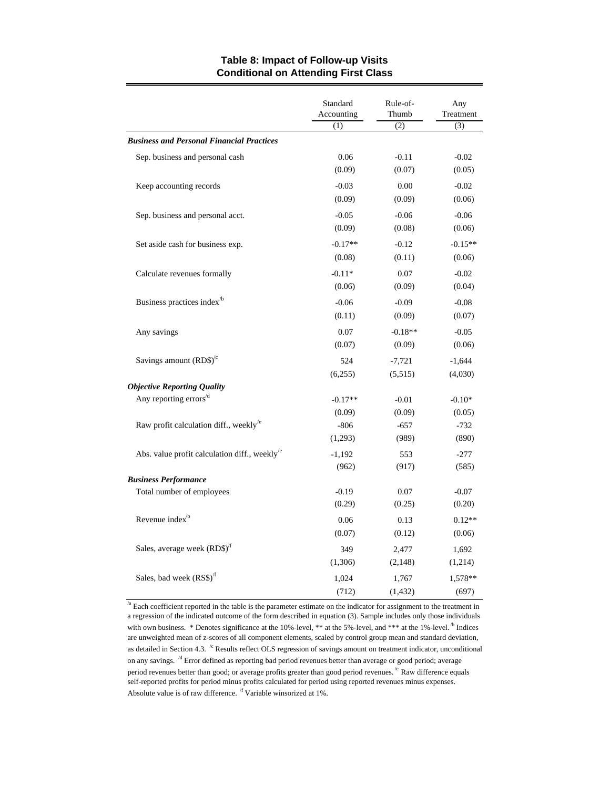|                                                                             | Standard<br>Accounting | Rule-of-<br>Thumb | Any<br>Treatment |
|-----------------------------------------------------------------------------|------------------------|-------------------|------------------|
|                                                                             | (1)                    | (2)               | (3)              |
| <b>Business and Personal Financial Practices</b>                            |                        |                   |                  |
| Sep. business and personal cash                                             | 0.06                   | $-0.11$           | $-0.02$          |
|                                                                             | (0.09)                 | (0.07)            | (0.05)           |
| Keep accounting records                                                     | $-0.03$                | 0.00              | $-0.02$          |
|                                                                             | (0.09)                 | (0.09)            | (0.06)           |
| Sep. business and personal acct.                                            | $-0.05$                | $-0.06$           | $-0.06$          |
|                                                                             | (0.09)                 | (0.08)            | (0.06)           |
| Set aside cash for business exp.                                            | $-0.17**$              | $-0.12$           | $-0.15**$        |
|                                                                             | (0.08)                 | (0.11)            | (0.06)           |
| Calculate revenues formally                                                 | $-0.11*$               | 0.07              | $-0.02$          |
|                                                                             | (0.06)                 | (0.09)            | (0.04)           |
| Business practices index <sup>/b</sup>                                      | $-0.06$                | $-0.09$           | $-0.08$          |
|                                                                             | (0.11)                 | (0.09)            | (0.07)           |
| Any savings                                                                 | 0.07                   | $-0.18**$         | $-0.05$          |
|                                                                             | (0.07)                 | (0.09)            | (0.06)           |
| Savings amount $(RDS)^{c}$                                                  | 524                    | $-7,721$          | $-1,644$         |
|                                                                             | (6,255)                | (5,515)           | (4,030)          |
| <b>Objective Reporting Quality</b>                                          |                        |                   |                  |
| Any reporting errors <sup>/d</sup>                                          | $-0.17**$              | $-0.01$           | $-0.10*$         |
|                                                                             | (0.09)                 | (0.09)            | (0.05)           |
| Raw profit calculation diff., weekly <sup>/e</sup>                          | $-806$                 | $-657$            | $-732$           |
|                                                                             | (1,293)                | (989)             | (890)            |
| Abs. value profit calculation diff., weekly $\mathrm{e}^{\mathrm{i}\theta}$ | $-1,192$               | 553               | $-277$           |
|                                                                             | (962)                  | (917)             | (585)            |
| <b>Business Performance</b>                                                 |                        |                   |                  |
| Total number of employees                                                   | $-0.19$                | 0.07              | $-0.07$          |
|                                                                             | (0.29)                 | (0.25)            | (0.20)           |
| Revenue index <sup>b</sup>                                                  | 0.06                   | 0.13              | $0.12**$         |
|                                                                             | (0.07)                 | (0.12)            | (0.06)           |
| Sales, average week (RD\$) <sup>f</sup>                                     | 349                    | 2,477             | 1,692            |
|                                                                             | (1,306)                | (2,148)           | (1,214)          |
| Sales, bad week (RS\$) <sup>f</sup>                                         | 1,024                  | 1,767             | 1,578**          |
|                                                                             | (712)                  | (1, 432)          | (697)            |

# **Table 8: Impact of Follow-up Visits Conditional on Attending First Class**

<sup>/a</sup> Each coefficient reported in the table is the parameter estimate on the indicator for assignment to the treatment in a regression of the indicated outcome of the form described in equation (3). Sample includes only those individuals with own business. \* Denotes significance at the 10%-level, \*\* at the 5%-level, and \*\*\* at the 1%-level.  $\frac{h}{b}$  Indices are unweighted mean of z-scores of all component elements, scaled by control group mean and standard deviation, as detailed in Section 4.3.  $\kappa$  Results reflect OLS regression of savings amount on treatment indicator, unconditional on any savings. /d Error defined as reporting bad period revenues better than average or good period; average period revenues better than good; or average profits greater than good period revenues. <sup>/e</sup> Raw difference equals self-reported profits for period minus profits calculated for period using reported revenues minus expenses. Absolute value is of raw difference. <sup>/f</sup> Variable winsorized at 1%.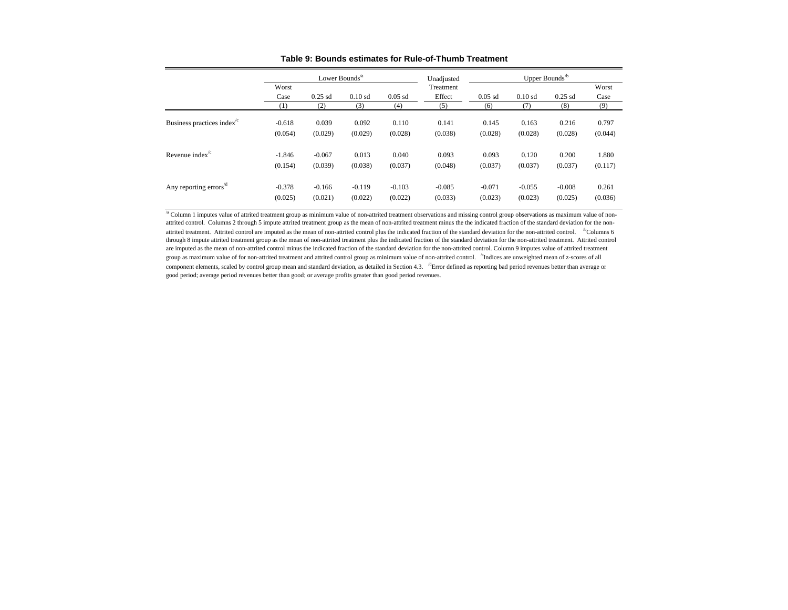|                                         |          |           | Lower Bounds <sup>'a</sup> |           | Unadjusted | Upper Bounds <sup>b</sup> |           |           |         |  |
|-----------------------------------------|----------|-----------|----------------------------|-----------|------------|---------------------------|-----------|-----------|---------|--|
|                                         | Worst    |           |                            |           | Treatment  |                           |           |           | Worst   |  |
|                                         | Case     | $0.25$ sd | $0.10$ sd                  | $0.05$ sd | Effect     | $0.05$ sd                 | $0.10$ sd | $0.25$ sd | Case    |  |
|                                         | (1)      | (2)       | (3)                        | (4)       | (5)        | (6)                       | (7)       | (8)       | (9)     |  |
| Business practices index <sup>/c</sup>  | $-0.618$ | 0.039     | 0.092                      | 0.110     | 0.141      | 0.145                     | 0.163     | 0.216     | 0.797   |  |
|                                         | (0.054)  | (0.029)   | (0.029)                    | (0.028)   | (0.038)    | (0.028)                   | (0.028)   | (0.028)   | (0.044) |  |
| Revenue index $\mathrm{e}^{\mathrm{c}}$ | $-1.846$ | $-0.067$  | 0.013                      | 0.040     | 0.093      | 0.093                     | 0.120     | 0.200     | 1.880   |  |
|                                         | (0.154)  | (0.039)   | (0.038)                    | (0.037)   | (0.048)    | (0.037)                   | (0.037)   | (0.037)   | (0.117) |  |
|                                         |          |           |                            |           |            |                           |           |           |         |  |
| Any reporting errors <sup>/d</sup>      | $-0.378$ | $-0.166$  | $-0.119$                   | $-0.103$  | $-0.085$   | $-0.071$                  | $-0.055$  | $-0.008$  | 0.261   |  |
|                                         | (0.025)  | (0.021)   | (0.022)                    | (0.022)   | (0.033)    | (0.023)                   | (0.023)   | (0.025)   | (0.036) |  |

#### **Table 9: Bounds estimates for Rule-of-Thumb Treatment**

<sup>/a</sup> Column 1 imputes value of attrited treatment group as minimum value of non-attrited treatment observations and missing control group observations as maximum value of nonattrited control. Columns 2 through 5 impute attrited treatment group as the mean of non-attrited treatment minus the the indicated fraction of the standard deviation for the nonattrited treatment. Attrited control are imputed as the mean of non-attrited control plus the indicated fraction of the standard deviation for the non-attrited control. <sup>h</sup>Columns 6 through 8 impute attrited treatment group as the mean of non-attrited treatment plus the indicated fraction of the standard deviation for the non-attrited treatment. Attrited control are imputed as the mean of non-attrited control minus the indicated fraction of the standard deviation for the non-attrited control. Column 9 imputes value of attrited treatment

group as maximum value of for non-attrited treatment and attrited control group as minimum value of non-attrited control. <sup>/c</sup>Indices are unweighted mean of z-scores of all component elements, scaled by control group mean and standard deviation, as detailed in Section 4.3. <sup>d</sup>Error defined as reporting bad period revenues better than average or good period; average period revenues better than good; or average profits greater than good period revenues.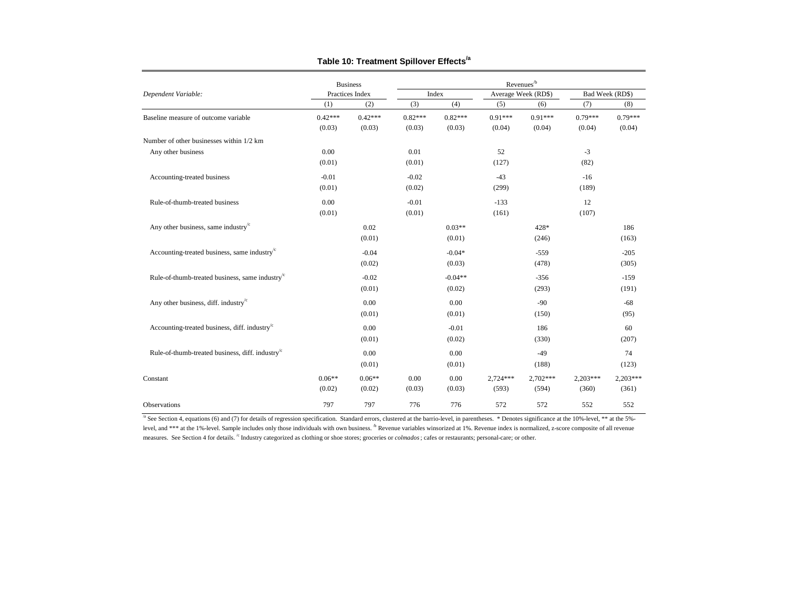|                                                                          | <b>Business</b><br>Practices Index |                     | Revenues <sup>/b</sup> |                     |                     |                     |                     |                     |
|--------------------------------------------------------------------------|------------------------------------|---------------------|------------------------|---------------------|---------------------|---------------------|---------------------|---------------------|
| Dependent Variable:                                                      |                                    |                     | Index                  |                     | Average Week (RD\$) |                     | Bad Week (RD\$)     |                     |
|                                                                          | (1)                                | (2)                 | (3)                    | (4)                 | (5)                 | (6)                 | (7)                 | (8)                 |
| Baseline measure of outcome variable                                     | $0.42***$<br>(0.03)                | $0.42***$<br>(0.03) | $0.82***$<br>(0.03)    | $0.82***$<br>(0.03) | $0.91***$<br>(0.04) | $0.91***$<br>(0.04) | $0.79***$<br>(0.04) | $0.79***$<br>(0.04) |
| Number of other businesses within 1/2 km                                 |                                    |                     |                        |                     |                     |                     |                     |                     |
| Any other business                                                       | 0.00<br>(0.01)                     |                     | 0.01<br>(0.01)         |                     | 52<br>(127)         |                     | $-3$<br>(82)        |                     |
| Accounting-treated business                                              | $-0.01$<br>(0.01)                  |                     | $-0.02$<br>(0.02)      |                     | $-43$<br>(299)      |                     | $-16$<br>(189)      |                     |
| Rule-of-thumb-treated business                                           | 0.00<br>(0.01)                     |                     | $-0.01$<br>(0.01)      |                     | $-133$<br>(161)     |                     | 12<br>(107)         |                     |
| Any other business, same industry <sup><math>\circ</math></sup>          |                                    | 0.02<br>(0.01)      |                        | $0.03**$<br>(0.01)  |                     | 428*<br>(246)       |                     | 186<br>(163)        |
| Accounting-treated business, same industry $\mathrm{C}^{\mathrm{c}}$     |                                    | $-0.04$<br>(0.02)   |                        | $-0.04*$<br>(0.03)  |                     | $-559$<br>(478)     |                     | $-205$<br>(305)     |
| Rule-of-thumb-treated business, same industry $\mathrm{C}^{\mathrm{c}}$  |                                    | $-0.02$<br>(0.01)   |                        | $-0.04**$<br>(0.02) |                     | $-356$<br>(293)     |                     | $-159$<br>(191)     |
| Any other business, diff. industry $\mathrm{C}^{\mathrm{c}}$             |                                    | 0.00<br>(0.01)      |                        | 0.00<br>(0.01)      |                     | $-90$<br>(150)      |                     | $-68$<br>(95)       |
| Accounting-treated business, diff. industry $\mathrm{C}^{\mathrm{c}}$    |                                    | 0.00<br>(0.01)      |                        | $-0.01$<br>(0.02)   |                     | 186<br>(330)        |                     | 60<br>(207)         |
| Rule-of-thumb-treated business, diff. industry $\mathrm{C}^{\mathrm{c}}$ |                                    | 0.00<br>(0.01)      |                        | 0.00<br>(0.01)      |                     | $-49$<br>(188)      |                     | 74<br>(123)         |
| Constant                                                                 | $0.06**$<br>(0.02)                 | $0.06**$<br>(0.02)  | 0.00<br>(0.03)         | 0.00<br>(0.03)      | 2,724 ***<br>(593)  | $2,702***$<br>(594) | $2,203***$<br>(360) | $2,203***$<br>(361) |
| Observations                                                             | 797                                | 797                 | 776                    | 776                 | 572                 | 572                 | 552                 | 552                 |

## **Table 10: Treatment Spillover Effects/a**

<sup>/a</sup> See Section 4, equations (6) and (7) for details of regression specification. Standard errors, clustered at the barrio-level, in parentheses. \* Denotes significance at the 10%-level, \*\* at the 5%level, and \*\*\* at the 1%-level. Sample includes only those individuals with own business. <sup>h</sup> Revenue variables winsorized at 1%. Revenue index is normalized, z-score composite of all revenue measures. See Section 4 for details. <sup>/c</sup> Industry categorized as clothing or shoe stores; groceries or *colmados*; cafes or restaurants; personal-care; or other.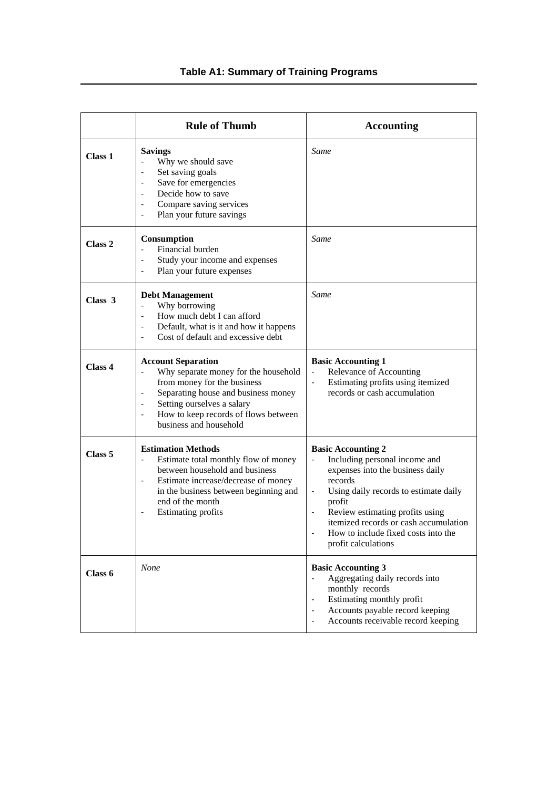# **Table A1: Summary of Training Programs**

|                    | <b>Rule of Thumb</b>                                                                                                                                                                                                                                                                                                            | <b>Accounting</b>                                                                                                                                                                                                                                                                                      |  |  |
|--------------------|---------------------------------------------------------------------------------------------------------------------------------------------------------------------------------------------------------------------------------------------------------------------------------------------------------------------------------|--------------------------------------------------------------------------------------------------------------------------------------------------------------------------------------------------------------------------------------------------------------------------------------------------------|--|--|
| Class 1            | <b>Savings</b><br>Why we should save<br>Set saving goals<br>$\qquad \qquad \blacksquare$<br>Save for emergencies<br>$\qquad \qquad \blacksquare$<br>Decide how to save<br>$\overline{\phantom{m}}$<br>Compare saving services<br>$\overline{a}$<br>Plan your future savings<br>$\qquad \qquad \blacksquare$                     | Same                                                                                                                                                                                                                                                                                                   |  |  |
| Class <sub>2</sub> | Consumption<br>Financial burden<br>Study your income and expenses<br>$\qquad \qquad \blacksquare$<br>Plan your future expenses<br>$\qquad \qquad \blacksquare$                                                                                                                                                                  | Same                                                                                                                                                                                                                                                                                                   |  |  |
| Class 3            | <b>Debt Management</b><br>Why borrowing<br>How much debt I can afford<br>$\qquad \qquad \blacksquare$<br>Default, what is it and how it happens<br>$\overline{\phantom{a}}$<br>Cost of default and excessive debt                                                                                                               | Same                                                                                                                                                                                                                                                                                                   |  |  |
| Class 4            | <b>Account Separation</b><br>Why separate money for the household<br>from money for the business<br>Separating house and business money<br>$\overline{\phantom{a}}$<br>Setting ourselves a salary<br>$\overline{\phantom{a}}$<br>How to keep records of flows between<br>$\qquad \qquad \blacksquare$<br>business and household | <b>Basic Accounting 1</b><br>Relevance of Accounting<br>Estimating profits using itemized<br>records or cash accumulation                                                                                                                                                                              |  |  |
| Class 5            | <b>Estimation Methods</b><br>Estimate total monthly flow of money<br>between household and business<br>Estimate increase/decrease of money<br>in the business between beginning and<br>end of the month<br><b>Estimating profits</b>                                                                                            | <b>Basic Accounting 2</b><br>Including personal income and<br>expenses into the business daily<br>records<br>Using daily records to estimate daily<br>profit<br>Review estimating profits using<br>itemized records or cash accumulation<br>How to include fixed costs into the<br>profit calculations |  |  |
| Class 6            | <b>None</b>                                                                                                                                                                                                                                                                                                                     | <b>Basic Accounting 3</b><br>Aggregating daily records into<br>monthly records<br>Estimating monthly profit<br>Accounts payable record keeping<br>Accounts receivable record keeping                                                                                                                   |  |  |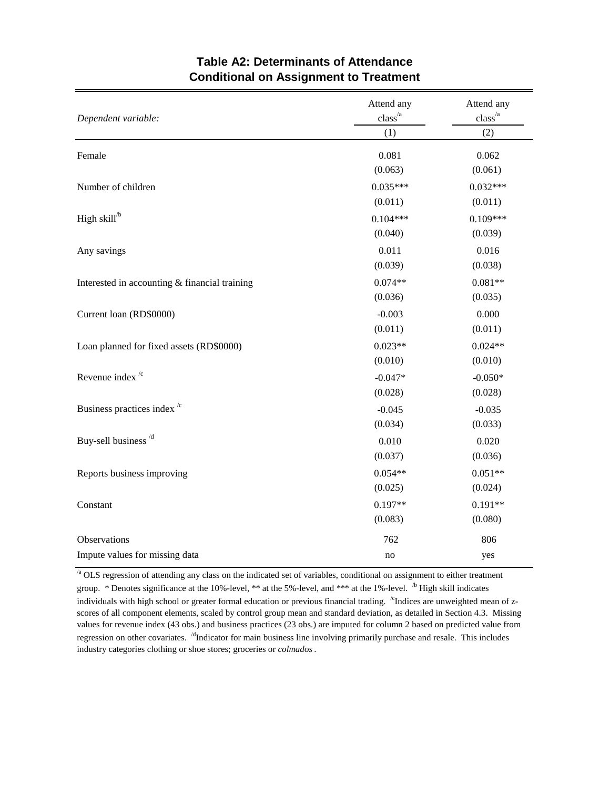| Dependent variable:                           | Attend any<br>$\mathrm{class}'^a$ | Attend any<br>$\mathrm{class}'^a$ |  |
|-----------------------------------------------|-----------------------------------|-----------------------------------|--|
|                                               | (1)                               | (2)                               |  |
| Female                                        | 0.081                             | 0.062                             |  |
|                                               | (0.063)                           | (0.061)                           |  |
| Number of children                            | $0.035***$                        | $0.032***$                        |  |
|                                               | (0.011)                           | (0.011)                           |  |
| High skill $/b$                               | $0.104***$                        | $0.109***$                        |  |
|                                               | (0.040)                           | (0.039)                           |  |
| Any savings                                   | 0.011                             | 0.016                             |  |
|                                               | (0.039)                           | (0.038)                           |  |
| Interested in accounting & financial training | $0.074**$                         | $0.081**$                         |  |
|                                               | (0.036)                           | (0.035)                           |  |
| Current loan (RD\$0000)                       | $-0.003$                          | 0.000                             |  |
|                                               | (0.011)                           | (0.011)                           |  |
| Loan planned for fixed assets (RD\$0000)      | $0.023**$                         | $0.024**$                         |  |
|                                               | (0.010)                           | (0.010)                           |  |
| Revenue index $\frac{1}{c}$                   | $-0.047*$                         | $-0.050*$                         |  |
|                                               | (0.028)                           | (0.028)                           |  |
| Business practices index <sup>/c</sup>        | $-0.045$                          | $-0.035$                          |  |
|                                               | (0.034)                           | (0.033)                           |  |
| Buy-sell business <sup>/d</sup>               | 0.010                             | 0.020                             |  |
|                                               | (0.037)                           | (0.036)                           |  |
| Reports business improving                    | $0.054**$                         | $0.051**$                         |  |
|                                               | (0.025)                           | (0.024)                           |  |
| Constant                                      | $0.197**$                         | $0.191**$                         |  |
|                                               | (0.083)                           | (0.080)                           |  |
| Observations                                  | 762                               | 806                               |  |
| Impute values for missing data                | no                                | yes                               |  |

# **Table A2: Determinants of Attendance Conditional on Assignment to Treatment**

 $\alpha$  OLS regression of attending any class on the indicated set of variables, conditional on assignment to either treatment group. \* Denotes significance at the 10%-level, \*\* at the 5%-level, and \*\*\* at the 1%-level.  $^{b}$  High skill indicates individuals with high school or greater formal education or previous financial trading. <sup>/c</sup>Indices are unweighted mean of zscores of all component elements, scaled by control group mean and standard deviation, as detailed in Section 4.3. Missing values for revenue index (43 obs.) and business practices (23 obs.) are imputed for column 2 based on predicted value from regression on other covariates. <sup>/d</sup>Indicator for main business line involving primarily purchase and resale. This includes industry categories clothing or shoe stores; groceries or *colmados*.